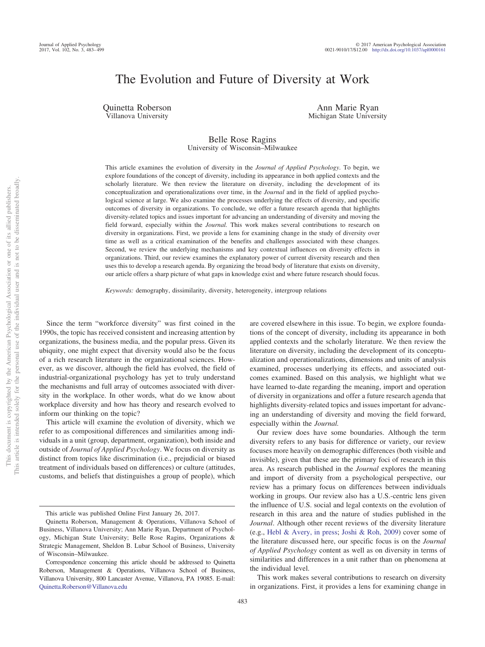# The Evolution and Future of Diversity at Work

Quinetta Roberson Villanova University

Ann Marie Ryan Michigan State University

## Belle Rose Ragins University of Wisconsin–Milwaukee

This article examines the evolution of diversity in the *Journal of Applied Psychology*. To begin, we explore foundations of the concept of diversity, including its appearance in both applied contexts and the scholarly literature. We then review the literature on diversity, including the development of its conceptualization and operationalizations over time, in the *Journal* and in the field of applied psychological science at large. We also examine the processes underlying the effects of diversity, and specific outcomes of diversity in organizations. To conclude, we offer a future research agenda that highlights diversity-related topics and issues important for advancing an understanding of diversity and moving the field forward, especially within the *Journal.* This work makes several contributions to research on diversity in organizations. First, we provide a lens for examining change in the study of diversity over time as well as a critical examination of the benefits and challenges associated with these changes. Second, we review the underlying mechanisms and key contextual influences on diversity effects in organizations. Third, our review examines the explanatory power of current diversity research and then uses this to develop a research agenda. By organizing the broad body of literature that exists on diversity, our article offers a sharp picture of what gaps in knowledge exist and where future research should focus.

*Keywords:* demography, dissimilarity, diversity, heterogeneity, intergroup relations

Since the term "workforce diversity" was first coined in the 1990s, the topic has received consistent and increasing attention by organizations, the business media, and the popular press. Given its ubiquity, one might expect that diversity would also be the focus of a rich research literature in the organizational sciences. However, as we discover, although the field has evolved, the field of industrial-organizational psychology has yet to truly understand the mechanisms and full array of outcomes associated with diversity in the workplace. In other words, what do we know about workplace diversity and how has theory and research evolved to inform our thinking on the topic?

This article will examine the evolution of diversity, which we refer to as compositional differences and similarities among individuals in a unit (group, department, organization), both inside and outside of *Journal of Applied Psychology*. We focus on diversity as distinct from topics like discrimination (i.e., prejudicial or biased treatment of individuals based on differences) or culture (attitudes, customs, and beliefs that distinguishes a group of people), which are covered elsewhere in this issue. To begin, we explore foundations of the concept of diversity, including its appearance in both applied contexts and the scholarly literature. We then review the literature on diversity, including the development of its conceptualization and operationalizations, dimensions and units of analysis examined, processes underlying its effects, and associated outcomes examined. Based on this analysis, we highlight what we have learned to-date regarding the meaning, import and operation of diversity in organizations and offer a future research agenda that highlights diversity-related topics and issues important for advancing an understanding of diversity and moving the field forward, especially within the *Journal.*

Our review does have some boundaries. Although the term diversity refers to any basis for difference or variety, our review focuses more heavily on demographic differences (both visible and invisible), given that these are the primary foci of research in this area. As research published in the *Journal* explores the meaning and import of diversity from a psychological perspective, our review has a primary focus on differences between individuals working in groups. Our review also has a U.S.-centric lens given the influence of U.S. social and legal contexts on the evolution of research in this area and the nature of studies published in the *Journal*. Although other recent reviews of the diversity literature (e.g., [Hebl & Avery, in press;](#page-14-0) [Joshi & Roh, 2009\)](#page-14-1) cover some of the literature discussed here, our specific focus is on the *Journal of Applied Psychology* content as well as on diversity in terms of similarities and differences in a unit rather than on phenomena at the individual level.

This work makes several contributions to research on diversity in organizations. First, it provides a lens for examining change in

This article was published Online First January 26, 2017.

Quinetta Roberson, Management & Operations, Villanova School of Business, Villanova University; Ann Marie Ryan, Department of Psychology, Michigan State University; Belle Rose Ragins, Organizations & Strategic Management, Sheldon B. Lubar School of Business, University of Wisconsin–Milwaukee.

Correspondence concerning this article should be addressed to Quinetta Roberson, Management & Operations, Villanova School of Business, Villanova University, 800 Lancaster Avenue, Villanova, PA 19085. E-mail: [Quinetta.Roberson@Villanova.edu](mailto:Quinetta.Roberson@Villanova.edu)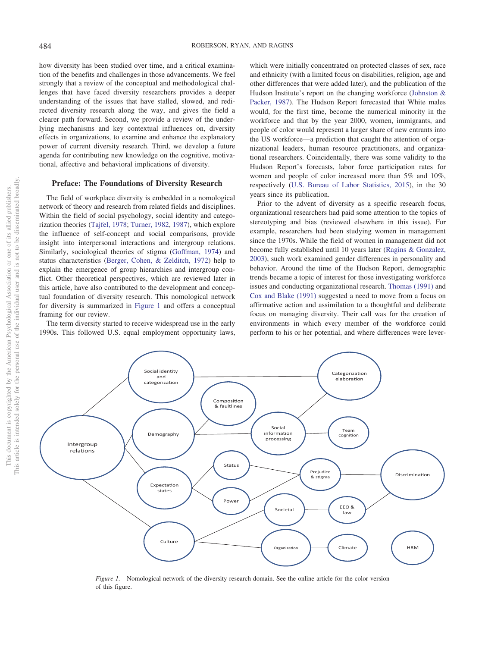how diversity has been studied over time, and a critical examination of the benefits and challenges in those advancements. We feel strongly that a review of the conceptual and methodological challenges that have faced diversity researchers provides a deeper understanding of the issues that have stalled, slowed, and redirected diversity research along the way, and gives the field a clearer path forward. Second, we provide a review of the underlying mechanisms and key contextual influences on, diversity effects in organizations, to examine and enhance the explanatory power of current diversity research. Third, we develop a future agenda for contributing new knowledge on the cognitive, motivational, affective and behavioral implications of diversity.

## **Preface: The Foundations of Diversity Research**

The field of workplace diversity is embedded in a nomological network of theory and research from related fields and disciplines. Within the field of social psychology, social identity and categorization theories [\(Tajfel, 1978;](#page-15-0) [Turner, 1982,](#page-15-1) [1987\)](#page-15-2), which explore the influence of self-concept and social comparisons, provide insight into interpersonal interactions and intergroup relations. Similarly, sociological theories of stigma [\(Goffman, 1974\)](#page-13-0) and status characteristics [\(Berger, Cohen, & Zelditch, 1972\)](#page-13-1) help to explain the emergence of group hierarchies and intergroup conflict. Other theoretical perspectives, which are reviewed later in this article, have also contributed to the development and conceptual foundation of diversity research. This nomological network for diversity is summarized in [Figure 1](#page-1-0) and offers a conceptual framing for our review.

The term diversity started to receive widespread use in the early 1990s. This followed U.S. equal employment opportunity laws,

which were initially concentrated on protected classes of sex, race and ethnicity (with a limited focus on disabilities, religion, age and other differences that were added later), and the publication of the Hudson Institute's report on the changing workforce [\(Johnston &](#page-14-2) [Packer, 1987\)](#page-14-2). The Hudson Report forecasted that White males would, for the first time, become the numerical minority in the workforce and that by the year 2000, women, immigrants, and people of color would represent a larger share of new entrants into the US workforce—a prediction that caught the attention of organizational leaders, human resource practitioners, and organizational researchers. Coincidentally, there was some validity to the Hudson Report's forecasts, labor force participation rates for women and people of color increased more than 5% and 10%, respectively [\(U.S. Bureau of Labor Statistics, 2015\)](#page-15-3), in the 30 years since its publication.

Prior to the advent of diversity as a specific research focus, organizational researchers had paid some attention to the topics of stereotyping and bias (reviewed elsewhere in this issue). For example, researchers had been studying women in management since the 1970s. While the field of women in management did not become fully established until 10 years later [\(Ragins & Gonzalez,](#page-15-4) [2003\)](#page-15-4), such work examined gender differences in personality and behavior. Around the time of the Hudson Report, demographic trends became a topic of interest for those investigating workforce issues and conducting organizational research. [Thomas \(1991\)](#page-15-5) and [Cox and Blake \(1991\)](#page-13-2) suggested a need to move from a focus on affirmative action and assimilation to a thoughtful and deliberate focus on managing diversity. Their call was for the creation of environments in which every member of the workforce could perform to his or her potential, and where differences were lever-



<span id="page-1-0"></span>*Figure 1.* Nomological network of the diversity research domain. See the online article for the color version of this figure.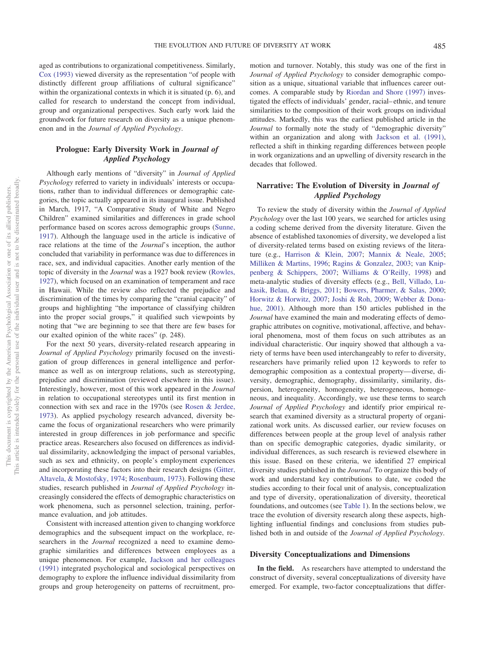aged as contributions to organizational competitiveness. Similarly, [Cox \(1993\)](#page-13-3) viewed diversity as the representation "of people with distinctly different group affiliations of cultural significance" within the organizational contexts in which it is situated (p. 6), and called for research to understand the concept from individual, group and organizational perspectives. Such early work laid the groundwork for future research on diversity as a unique phenomenon and in the *Journal of Applied Psychology*.

## **Prologue: Early Diversity Work in** *Journal of Applied Psychology*

Although early mentions of "diversity" in *Journal of Applied Psychology* referred to variety in individuals' interests or occupations, rather than to individual differences or demographic categories, the topic actually appeared in its inaugural issue. Published in March, 1917, "A Comparative Study of White and Negro Children" examined similarities and differences in grade school performance based on scores across demographic groups [\(Sunne,](#page-15-6) [1917\)](#page-15-6). Although the language used in the article is indicative of race relations at the time of the *Journal*'s inception, the author concluded that variability in performance was due to differences in race, sex, and individual capacities. Another early mention of the topic of diversity in the *Journal* was a 1927 book review [\(Rowles,](#page-15-7) [1927\)](#page-15-7), which focused on an examination of temperament and race in Hawaii. While the review also reflected the prejudice and discrimination of the times by comparing the "cranial capacity" of groups and highlighting "the importance of classifying children into the proper social groups," it qualified such viewpoints by noting that "we are beginning to see that there are few bases for our exalted opinion of the white races" (p. 248).

For the next 50 years, diversity-related research appearing in *Journal of Applied Psychology* primarily focused on the investigation of group differences in general intelligence and performance as well as on intergroup relations, such as stereotyping, prejudice and discrimination (reviewed elsewhere in this issue). Interestingly, however, most of this work appeared in the *Journal* in relation to occupational stereotypes until its first mention in connection with sex and race in the 1970s (see [Rosen & Jerdee,](#page-15-8) [1973\)](#page-15-8). As applied psychology research advanced, diversity became the focus of organizational researchers who were primarily interested in group differences in job performance and specific practice areas. Researchers also focused on differences as individual dissimilarity, acknowledging the impact of personal variables, such as sex and ethnicity, on people's employment experiences and incorporating these factors into their research designs [\(Gitter,](#page-13-4) [Altavela, & Mostofsky, 1974;](#page-13-4) [Rosenbaum, 1973\)](#page-15-9). Following these studies, research published in *Journal of Applied Psychology* increasingly considered the effects of demographic characteristics on work phenomena, such as personnel selection, training, performance evaluation, and job attitudes.

Consistent with increased attention given to changing workforce demographics and the subsequent impact on the workplace, researchers in the *Journal* recognized a need to examine demographic similarities and differences between employees as a unique phenomenon. For example, [Jackson and her colleagues](#page-14-3) [\(1991\)](#page-14-3) integrated psychological and sociological perspectives on demography to explore the influence individual dissimilarity from groups and group heterogeneity on patterns of recruitment, promotion and turnover. Notably, this study was one of the first in *Journal of Applied Psychology* to consider demographic composition as a unique, situational variable that influences career outcomes. A comparable study by [Riordan and Shore \(1997\)](#page-15-10) investigated the effects of individuals' gender, racial– ethnic, and tenure similarities to the composition of their work groups on individual attitudes. Markedly, this was the earliest published article in the *Journal* to formally note the study of "demographic diversity" within an organization and along with [Jackson et al. \(1991\),](#page-14-3) reflected a shift in thinking regarding differences between people in work organizations and an upwelling of diversity research in the decades that followed.

## **Narrative: The Evolution of Diversity in** *Journal of Applied Psychology*

To review the study of diversity within the *Journal of Applied Psychology* over the last 100 years, we searched for articles using a coding scheme derived from the diversity literature. Given the absence of established taxonomies of diversity, we developed a list of diversity-related terms based on existing reviews of the literature (e.g., [Harrison & Klein, 2007;](#page-14-4) [Mannix & Neale, 2005;](#page-14-5) [Milliken & Martins, 1996;](#page-14-6) [Ragins & Gonzalez, 2003;](#page-15-4) [van Knip](#page-15-11)[penberg & Schippers, 2007;](#page-15-11) [Williams & O'Reilly, 1998\)](#page-16-0) and meta-analytic studies of diversity effects (e.g., [Bell, Villado, Lu](#page-13-5)[kasik, Belau, & Briggs, 2011;](#page-13-5) [Bowers, Pharmer, & Salas, 2000;](#page-13-6) [Horwitz & Horwitz, 2007;](#page-14-7) [Joshi & Roh, 2009;](#page-14-1) [Webber & Dona](#page-15-12)[hue, 2001\)](#page-15-12). Although more than 150 articles published in the *Journal* have examined the main and moderating effects of demographic attributes on cognitive, motivational, affective, and behavioral phenomena, most of them focus on such attributes as an individual characteristic. Our inquiry showed that although a variety of terms have been used interchangeably to refer to diversity, researchers have primarily relied upon 12 keywords to refer to demographic composition as a contextual property— diverse, diversity, demographic, demography, dissimilarity, similarity, dispersion, heterogeneity, homogeneity, heterogeneous, homogeneous, and inequality. Accordingly, we use these terms to search *Journal of Applied Psychology* and identify prior empirical research that examined diversity as a structural property of organizational work units. As discussed earlier, our review focuses on differences between people at the group level of analysis rather than on specific demographic categories, dyadic similarity, or individual differences, as such research is reviewed elsewhere in this issue. Based on these criteria, we identified 27 empirical diversity studies published in the *Journal*. To organize this body of work and understand key contributions to date, we coded the studies according to their focal unit of analysis, conceptualization and type of diversity, operationalization of diversity, theoretical foundations, and outcomes (see [Table 1\)](#page-3-0). In the sections below, we trace the evolution of diversity research along these aspects, highlighting influential findings and conclusions from studies published both in and outside of the *Journal of Applied Psychology*.

## **Diversity Conceptualizations and Dimensions**

**In the field.** As researchers have attempted to understand the construct of diversity, several conceptualizations of diversity have emerged. For example, two-factor conceptualizations that differ-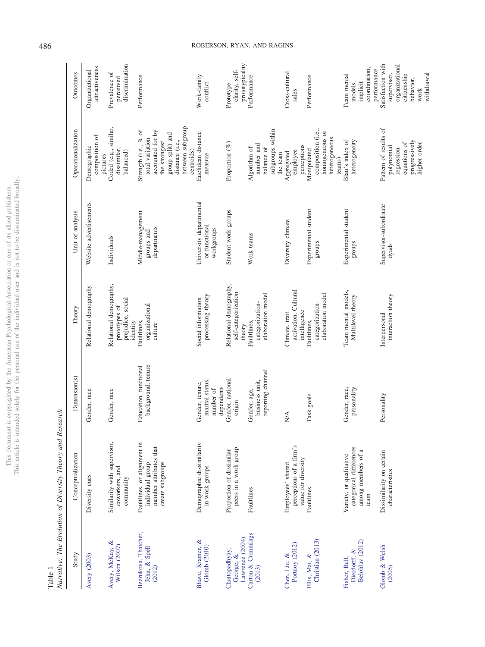<span id="page-3-0"></span>Table 1<br>Narrative: The Evolution of Diversity Theory and Research *Narrative: The Evolution of Diversity Theory and Research*

| Study                                            | Conceptualization                                                                             | Dimension(s)                                                  | Theory                                                                   | Unit of analysis                                       | Operationalization                                                                                                                                      | Outcomes                                                                                             |
|--------------------------------------------------|-----------------------------------------------------------------------------------------------|---------------------------------------------------------------|--------------------------------------------------------------------------|--------------------------------------------------------|---------------------------------------------------------------------------------------------------------------------------------------------------------|------------------------------------------------------------------------------------------------------|
| Avery (2003)                                     | Diversity cues                                                                                | Gender, race                                                  | Relational demography                                                    | Website advertisements                                 | composition of<br>Demographic<br>pictures                                                                                                               | attractiveness<br>Organizational                                                                     |
| Avery, McKay, &<br>Wilson (2007)                 | Similarity with supervisor,<br>coworkers, and<br>community                                    | Gender, race                                                  | Relational demography,<br>prejudice, social<br>prototypes of<br>identity | Individuals                                            | Coded (e.g., similar,<br>dissimilar,<br>balanced)                                                                                                       | discrimination<br>Prevalence of<br>perceived                                                         |
| Bezrukova, Thatcher,<br>Jehn, & Spell<br>(2012)  | Faultlines, or alignment in<br>member attributes that<br>create subgroups<br>individual group | background, tenure<br>Education, functional                   | organizational<br>Faultlines,<br>culture                                 | Middle-management<br>departments<br>groups and         | between subgroup<br>Strength (i.e., $%$ of<br>accounted for by<br>group split) and<br>total variation<br>distance (i.e.,<br>the strongest<br>centroids) | Performance                                                                                          |
| Bhave, Kramer, &<br>Glomb (2010)                 | Demographic dissimilarity<br>in work groups                                                   | marital status,<br>Gender, tenure,<br>dependents<br>number of | processing theory<br>Social information                                  | University departmental<br>or functional<br>workgroups | Euclidean distance<br>measure                                                                                                                           | Work-family<br>conflict                                                                              |
| Lawrence (2004)<br>Chattopadhyay,<br>George, &   | peers in a work group<br>Proportion of dissimilar                                             | Gender, national<br>origin                                    | Relational demography,<br>self-categorization<br>theory                  | Student work groups                                    | Proportion (%)                                                                                                                                          | prototypicality<br>clarity, self-<br>Prototype                                                       |
| Carton & Cummings<br>(2013)                      | Faultlines                                                                                    | reporting channel<br>business unit,<br>Gender, age,           | elaboration model<br>categorization-<br>Faultlines,                      | Work teams                                             | subgroups within<br>number and<br>Algorithm of<br>balance of<br>the team                                                                                | Performance                                                                                          |
| Portnoy (2012)<br>Chen, Liu, &                   | perceptions of a firm's<br>value for diversity<br>Employees' shared                           | $\stackrel{\triangle}{\approx}$                               | activation. Cultural<br>intelligence<br>Climate, trait                   | Diversity climate                                      | perceptions<br>employee<br>Aggregated                                                                                                                   | Cross-cultural<br>sales                                                                              |
| Christian (2013)<br>Ellis, Mai, &                | Faultlines                                                                                    | Task goals                                                    | elaboration model<br>categorization-<br>Faultlines,                      | Experimental student<br>groups                         | composition (i.e.,<br>homogeneous or<br>heterogeneous<br>Manipulated<br>teams)                                                                          | Performance                                                                                          |
| Belohlav (2012)<br>Dierdorff, &<br>Fisher, Bell, | categorical differences<br>among members of a<br>Variety, or qualitative<br>team              | Gender, race,<br>personality                                  | Team mental models,<br>Multilevel theory                                 | Experimental student<br>groups                         | Blau's index of<br>heterogeneity                                                                                                                        | coordination,<br>performance<br>Team mental<br>implicit<br>models,                                   |
| Glomb & Welsh<br>(2005)                          | Dissimilarity on certain<br>characteristics                                                   | Personality                                                   | interaction theory<br>Interpersonal                                      | Supervisor-subordinate<br>dyads                        | Pattern of results of<br>progressively<br>equations of<br>higher order<br>polynomial<br>regression                                                      | Satisfaction with<br>organizational<br>withdrawal<br>supervisor,<br>citizenship<br>behavior,<br>work |

486 ROBERSON, RYAN, AND RAGINS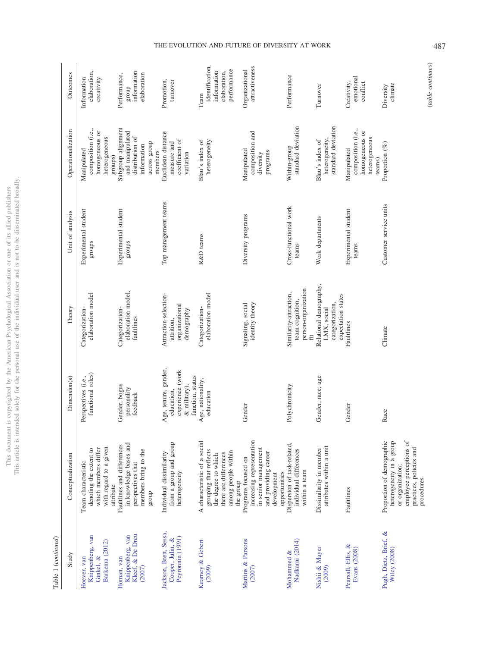| Table 1 (continued)                                            |                                                                                                                                               |                                                                                            |                                                                                |                                |                                                                                                    |                                                                       |
|----------------------------------------------------------------|-----------------------------------------------------------------------------------------------------------------------------------------------|--------------------------------------------------------------------------------------------|--------------------------------------------------------------------------------|--------------------------------|----------------------------------------------------------------------------------------------------|-----------------------------------------------------------------------|
| Study                                                          | Conceptualization                                                                                                                             | Dimension(s)                                                                               | Theory                                                                         | Unit of analysis               | Operationalization                                                                                 | Outcomes                                                              |
| Knippenberg, van<br>Barkema (2012)<br>Ginkel, &<br>Hoever, van | with regard to a given<br>which members differ<br>denoting the extent to<br>Team characteristic<br>attribute                                  | functional roles)<br>Perspectives (i.e.,                                                   | elaboration model<br>Categorization-                                           | Experimental student<br>groups | composition (i.e.,<br>homogeneous or<br>heterogeneous<br>Manipulated<br>groups)                    | elaboration,<br>Information<br>creativity                             |
| Kleef, & De Dreu<br>Knippenberg, van<br>Homan, van<br>(2007)   | in knowledge bases and<br>Faultlines and differences<br>members bring to the<br>perspectives that<br>group                                    | Gender, bogus<br>personality<br>feedback                                                   | elaboration model,<br>Categorization-<br>faultlines                            | Experimental student<br>groups | Subgroup alignment<br>and manipulated<br>distribution of<br>across group<br>information<br>members | information<br>elaboration<br>Performance,<br>group                   |
| Jackson, Brett, Sessa,<br>Peyronnin (1991)<br>Cooper, Julin, & | from a group and group<br>Individual dissimilarity<br>heterogeneity                                                                           | Age, tenure, gender,<br>experience (work<br>function, status<br>& military),<br>education, | Attraction-selection-<br>organizational<br>demography<br>attrition,            | Top management teams           | Euclidean distance<br>coefficient of<br>measure and<br>variation                                   | turnover<br>Promotion,                                                |
| Kearney & Gebert<br>(2009)                                     | A characteristic of a social<br>grouping that reflects<br>among people within<br>there are differences<br>the degree to which                 | Age, nationality,<br>education                                                             | elaboration model<br>Categorization-                                           | R&D teams                      | heterogeneity<br>Blau's index of                                                                   | identification,<br>performance<br>elaboration,<br>information<br>Team |
| Martins & Parsons<br>(2007)                                    | increasing representation<br>in senior management<br>and providing career<br>Programs focused on<br>opportunities<br>development<br>the group | Gender                                                                                     | identity theory<br>Signaling, social                                           | Diversity programs             | composition and<br>Manipulated<br>programs<br>diversity                                            | attractiveness<br>Organizational                                      |
| Nadkarni (2014)<br>Mohammed &                                  | Dispersion of task-related,<br>individual differences<br>within a team                                                                        | Polychronicity                                                                             | person-organization<br>Similarity-attraction,<br>team cognition,               | Cross-functional work<br>teams | standard deviation<br>Within-group                                                                 | Performance                                                           |
| Nishii & Mayer<br>(2009)                                       | attributes within a unit<br>Dissimilarity in member                                                                                           | Gender, race, age                                                                          | Relational demography,<br>expectation states<br>categorization,<br>LMX, social | Work departments               | standard deviation<br>heterogeneity,<br>Blau's index of                                            | Turnover                                                              |
| Pearsall, Ellis, &<br>Evans (2008)                             | Faultlines                                                                                                                                    | Gender                                                                                     | Faultlines                                                                     | Experimental student<br>teams  | composition (i.e.,<br>homogeneous or<br>heterogeneous<br>Manipulated<br>teams)                     | emotional<br>Creativity,<br>conflict                                  |
| Pugh, Dietz, Brief, &<br>Wiley (2008)                          | Proportion of demographic<br>employee perceptions of<br>heterogeneity in a group<br>practices, policies and<br>or organization;<br>procedures | Race                                                                                       | Climate                                                                        | Customer service units         | Proportion (%)                                                                                     | climate<br>Diversity                                                  |

## THE EVOLUTION AND FUTURE OF DIVERSITY AT WORK 487

(*table continues*)

(table continues)

This document is copyrighted by the American Psychological Association or one of its allied publishers. This article is intended solely for the personal use of the individual user and is not to be disseminated broadly.

This document is copyrighted by the American Psychological Association or one of its allied publishers.<br>This article is intended solely for the personal use of the individual user and is not to be disseminated broadly.

Table 1 (*continued*)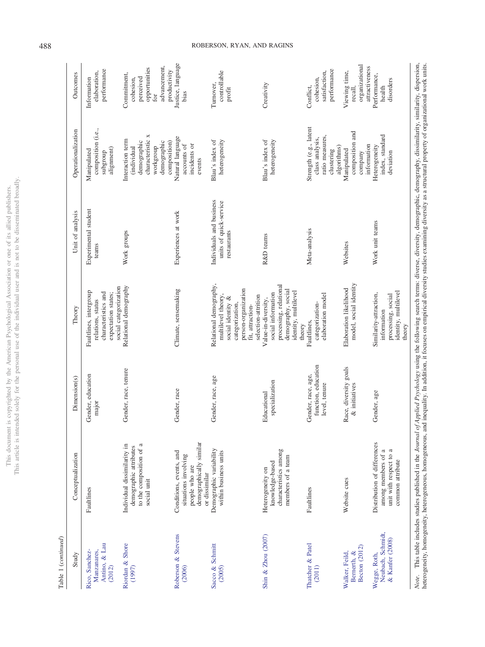|                     | î                     |
|---------------------|-----------------------|
|                     |                       |
| š                   |                       |
| í<br>ò              | i                     |
| Ś                   |                       |
|                     |                       |
| į                   |                       |
| J                   |                       |
| ì                   |                       |
|                     |                       |
| j                   |                       |
|                     |                       |
|                     |                       |
|                     |                       |
|                     |                       |
| í                   | c<br>C                |
| ć                   |                       |
|                     |                       |
|                     |                       |
|                     |                       |
| or one              |                       |
|                     |                       |
|                     |                       |
|                     | ï                     |
| j                   |                       |
|                     | sei<br>$\overline{a}$ |
|                     |                       |
|                     |                       |
|                     |                       |
|                     |                       |
| č<br>j              |                       |
| j                   |                       |
|                     |                       |
| í                   |                       |
|                     |                       |
| i                   |                       |
|                     |                       |
| ļ                   |                       |
| <b>HOOF</b>         | <b>SPOL</b>           |
|                     | í                     |
| í                   |                       |
| ļ                   |                       |
|                     |                       |
|                     |                       |
|                     |                       |
| j                   |                       |
|                     |                       |
|                     | $\frac{1}{2}$<br>ŝ    |
|                     |                       |
| j                   | l<br>ì                |
| ì                   |                       |
| j                   |                       |
|                     | ì                     |
| <b>DESTINE</b><br>ì | ï                     |
| ļ                   |                       |
|                     | $\mathbf$<br>j        |
|                     |                       |
|                     | <b>FAM</b>            |
|                     |                       |
|                     |                       |
|                     |                       |
|                     |                       |
|                     |                       |
|                     | l                     |
| Linus (             | $\frac{1}{2}$         |
|                     |                       |
|                     | ç                     |
|                     |                       |
|                     | I                     |

Table 1 (continued) Table 1 (*continued*)

| Outcomes           | performance<br>elaboration,<br>Information                                                                         | advancement,<br>opportunities<br>productivity<br>Commitment,<br>perceived<br>cohesion,<br>for                  | Justice, language<br>bias                                                                                     | controllable<br>Turnover,<br>profit                                                                                                                    | Creativity                                                                                                                  | performance<br>satisfaction,<br>cohesion,<br>Conflict,                                    | organizational<br>attractiveness<br>Viewing time,<br>recall, | Performance,<br>disorders<br>health                                                                |                                                                                                                                                                                                                                                                                                                                                                                                               |
|--------------------|--------------------------------------------------------------------------------------------------------------------|----------------------------------------------------------------------------------------------------------------|---------------------------------------------------------------------------------------------------------------|--------------------------------------------------------------------------------------------------------------------------------------------------------|-----------------------------------------------------------------------------------------------------------------------------|-------------------------------------------------------------------------------------------|--------------------------------------------------------------|----------------------------------------------------------------------------------------------------|---------------------------------------------------------------------------------------------------------------------------------------------------------------------------------------------------------------------------------------------------------------------------------------------------------------------------------------------------------------------------------------------------------------|
| Operationalization | composition (i.e.,<br>alignment)<br>Manipulated<br>dnoraqns                                                        | characteristic x<br>Interaction term<br>demographic<br>demographic<br>composition)<br>workgroup<br>(individual | Natural language<br>accounts of<br>incidents or<br>events                                                     | heterogeneity<br>Blau's index of                                                                                                                       | heterogeneity<br>Blau's index of                                                                                            | Strength (e.g., latent<br>ratio measures,<br>class analysis,<br>algorithms)<br>clustering | composition and<br>information<br>Manipulated<br>company     | index, standard<br>Heterogeneity<br>deviation                                                      |                                                                                                                                                                                                                                                                                                                                                                                                               |
| Unit of analysis   | Experimental student<br>teams                                                                                      | Work groups                                                                                                    | Experiences at work                                                                                           | Individuals and business<br>units of quick-service<br>restaurants                                                                                      | R&D teams                                                                                                                   | Meta-analysis                                                                             | Websites                                                     | Work unit teams                                                                                    |                                                                                                                                                                                                                                                                                                                                                                                                               |
| Theory             | social categorization<br>Faultlines, intergroup<br>characteristics and<br>expectation states;<br>relations, status | Relational demography                                                                                          | Climate, sensemaking                                                                                          | Relational demography,<br>person-organization<br>multilevel theory,<br>selection-attrition<br>social identity &<br>categorization,<br>fit, attraction- | processing, relational<br>demography, social<br>identity, multilevel<br>social information<br>Value-in-diversity,<br>theory | elaboration model<br>categorization-<br>Faultlines,                                       | model, social identity<br>Elaboration likelihood             | identity, multilevel<br>Similarity-attraction,<br>processing, social<br>information<br>theory      |                                                                                                                                                                                                                                                                                                                                                                                                               |
| Dimension(s)       | Gender, education<br>major                                                                                         | Gender, race, tenure                                                                                           | Gender, race                                                                                                  | Gender, race, age                                                                                                                                      | specialization<br>Educational                                                                                               | function, education<br>Gender, race, age,<br>level, tenure                                | Race, diversity goals<br>& initiatives                       | Gender, age                                                                                        |                                                                                                                                                                                                                                                                                                                                                                                                               |
| Conceptualization  | Faultlines                                                                                                         | Individual dissimilarity in<br>to the composition of a<br>demographic attributes<br>social unit                | demographically similar<br>Conditions, events, and<br>situations involving<br>people who are<br>or dissimilar | Demographic variability<br>within business units                                                                                                       | characteristics among<br>members of a team<br>knowledge-based<br>Heterogeneity on                                           | Faultlines                                                                                | Website cues                                                 | Distribution of differences<br>a<br>among members of a<br>unit with respect to<br>common attribute | This table includes studies published in the Journal of Applied Psychology using the following search terms: diverse, diversity, demographic, demography, dissimilarity, similarity, dispersion,<br>heterogeneity, homogeneity, heterogeneous, homogeneous, and inequality. In addition, it focuses on empirical diversity studies examining diversity as a structural property of organizational work units. |
| Study              | Antino, & Lau<br>Manzanares,<br>Rico, Sanchez-<br>(2012)                                                           | Riordan & Shore<br>(1997)                                                                                      | Roberson & Stevens<br>(2006)                                                                                  | Sacco & Schmitt<br>(2005)                                                                                                                              | Shin & Zhou (2007)                                                                                                          | Thatcher & Patel<br>(2011)                                                                | Becton (2012)<br>Walker, Feild,<br>Bernerth, &               | Neubach, Schmidt,<br>& Kanfer (2008)<br>Wegge, Roth,                                               | Note.                                                                                                                                                                                                                                                                                                                                                                                                         |

488 ROBERSON, RYAN, AND RAGINS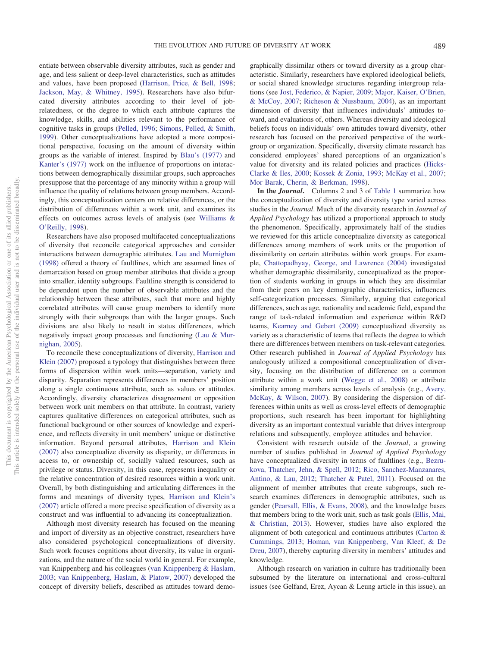entiate between observable diversity attributes, such as gender and age, and less salient or deep-level characteristics, such as attitudes and values, have been proposed [\(Harrison, Price, & Bell, 1998;](#page-14-16) [Jackson, May, & Whitney, 1995\)](#page-14-17). Researchers have also bifurcated diversity attributes according to their level of jobrelatedness, or the degree to which each attribute captures the knowledge, skills, and abilities relevant to the performance of cognitive tasks in groups [\(Pelled, 1996;](#page-14-18) [Simons, Pelled, & Smith,](#page-15-19) [1999\)](#page-15-19). Other conceptualizations have adopted a more compositional perspective, focusing on the amount of diversity within groups as the variable of interest. Inspired by [Blau's \(1977\)](#page-13-17) and [Kanter's \(1977\)](#page-14-19) work on the influence of proportions on interactions between demographically dissimilar groups, such approaches presuppose that the percentage of any minority within a group will influence the quality of relations between group members. Accordingly, this conceptualization centers on relative differences, or the distribution of differences within a work unit, and examines its effects on outcomes across levels of analysis (see [Williams &](#page-16-0) [O'Reilly, 1998\)](#page-16-0).

Researchers have also proposed multifaceted conceptualizations of diversity that reconcile categorical approaches and consider interactions between demographic attributes. [Lau and Murnighan](#page-14-20) [\(1998\)](#page-14-20) offered a theory of faultlines, which are assumed lines of demarcation based on group member attributes that divide a group into smaller, identity subgroups. Faultline strength is considered to be dependent upon the number of observable attributes and the relationship between these attributes, such that more and highly correlated attributes will cause group members to identify more strongly with their subgroups than with the larger groups. Such divisions are also likely to result in status differences, which negatively impact group processes and functioning [\(Lau & Mur](#page-14-21)[nighan, 2005\)](#page-14-21).

To reconcile these conceptualizations of diversity, [Harrison and](#page-14-4) [Klein \(2007\)](#page-14-4) proposed a typology that distinguishes between three forms of dispersion within work units—separation, variety and disparity. Separation represents differences in members' position along a single continuous attribute, such as values or attitudes. Accordingly, diversity characterizes disagreement or opposition between work unit members on that attribute. In contrast, variety captures qualitative differences on categorical attributes, such as functional background or other sources of knowledge and experience, and reflects diversity in unit members' unique or distinctive information. Beyond personal attributes, [Harrison and Klein](#page-14-4) [\(2007\)](#page-14-4) also conceptualize diversity as disparity, or differences in access to, or ownership of, socially valued resources, such as privilege or status. Diversity, in this case, represents inequality or the relative concentration of desired resources within a work unit. Overall, by both distinguishing and articulating differences in the forms and meanings of diversity types, [Harrison and Klein's](#page-14-4) [\(2007\)](#page-14-4) article offered a more precise specification of diversity as a construct and was influential to advancing its conceptualization.

Although most diversity research has focused on the meaning and import of diversity as an objective construct, researchers have also considered psychological conceptualizations of diversity. Such work focuses cognitions about diversity, its value in organizations, and the nature of the social world in general. For example, van Knippenberg and his colleagues [\(van Knippenberg & Haslam,](#page-15-20) [2003;](#page-15-20) [van Knippenberg, Haslam, & Platow, 2007\)](#page-15-21) developed the concept of diversity beliefs, described as attitudes toward demo-

graphically dissimilar others or toward diversity as a group characteristic. Similarly, researchers have explored ideological beliefs, or social shared knowledge structures regarding intergroup relations (see [Jost, Federico, & Napier, 2009;](#page-14-22) [Major, Kaiser, O'Brien,](#page-14-23) [& McCoy, 2007;](#page-14-23) [Richeson & Nussbaum, 2004\)](#page-15-22), as an important dimension of diversity that influences individuals' attitudes toward, and evaluations of, others. Whereas diversity and ideological beliefs focus on individuals' own attitudes toward diversity, other research has focused on the perceived perspective of the workgroup or organization. Specifically, diversity climate research has considered employees' shared perceptions of an organization's value for diversity and its related policies and practices [\(Hicks-](#page-14-24)[Clarke & Iles, 2000;](#page-14-24) [Kossek & Zonia, 1993;](#page-14-25) [McKay et al., 2007;](#page-14-26) [Mor Barak, Cherin, & Berkman, 1998\)](#page-14-27).

**In the** *Journal***.** Columns 2 and 3 of [Table 1](#page-3-0) summarize how the conceptualization of diversity and diversity type varied across studies in the *Journal*. Much of the diversity research in *Journal of Applied Psychology* has utilized a proportional approach to study the phenomenon. Specifically, approximately half of the studies we reviewed for this article conceptualize diversity as categorical differences among members of work units or the proportion of dissimilarity on certain attributes within work groups. For example, [Chattopadhyay, George, and Lawrence \(2004\)](#page-13-11) investigated whether demographic dissimilarity, conceptualized as the proportion of students working in groups in which they are dissimilar from their peers on key demographic characteristics, influences self-categorization processes. Similarly, arguing that categorical differences, such as age, nationality and academic field, expand the range of task-related information and experience within R&D teams, [Kearney and Gebert \(2009\)](#page-14-10) conceptualized diversity as variety as a characteristic of teams that reflects the degree to which there are differences between members on task-relevant categories. Other research published in *Journal of Applied Psychology* has analogously utilized a compositional conceptualization of diversity, focusing on the distribution of difference on a common attribute within a work unit [\(Wegge et al., 2008\)](#page-16-1) or attribute similarity among members across levels of analysis (e.g., [Avery,](#page-13-8) [McKay, & Wilson, 2007\)](#page-13-8). By considering the dispersion of differences within units as well as cross-level effects of demographic proportions, such research has been important for highlighting diversity as an important contextual variable that drives intergroup relations and subsequently, employee attitudes and behavior.

Consistent with research outside of the *Journal*, a growing number of studies published in *Journal of Applied Psychology* have conceptualized diversity in terms of faultlines (e.g., [Bezru](#page-13-9)[kova, Thatcher, Jehn, & Spell, 2012;](#page-13-9) [Rico, Sanchez-Manzanares,](#page-15-13) [Antino, & Lau, 2012;](#page-15-13) [Thatcher & Patel, 2011\)](#page-15-17). Focused on the alignment of member attributes that create subgroups, such research examines differences in demographic attributes, such as gender [\(Pearsall, Ellis, & Evans, 2008\)](#page-14-14), and the knowledge bases that members bring to the work unit, such as task goals [\(Ellis, Mai,](#page-13-14) [& Christian, 2013\)](#page-13-14). However, studies have also explored the alignment of both categorical and continuous attributes [\(Carton &](#page-13-12) [Cummings, 2013;](#page-13-12) [Homan, van Knippenberg, Van Kleef, & De](#page-14-9) [Dreu, 2007\)](#page-14-9), thereby capturing diversity in members' attitudes and knowledge.

Although research on variation in culture has traditionally been subsumed by the literature on international and cross-cultural issues (see Gelfand, Erez, Aycan & Leung article in this issue), an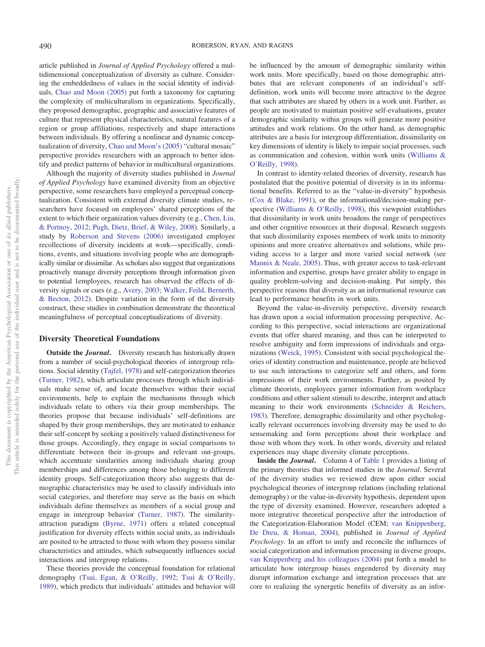article published in *Journal of Applied Psychology* offered a multidimensional conceptualization of diversity as culture. Considering the embeddedness of values in the social identity of individuals, [Chao and Moon \(2005\)](#page-13-18) put forth a taxonomy for capturing the complexity of multiculturalism in organizations. Specifically, they proposed demographic, geographic and associative features of culture that represent physical characteristics, natural features of a region or group affiliations, respectively and shape interactions between individuals. By offering a nonlinear and dynamic conceptualization of diversity, [Chao and Moon's \(2005\)](#page-13-18) "cultural mosaic" perspective provides researchers with an approach to better identify and predict patterns of behavior in multicultural organizations.

Although the majority of diversity studies published in *Journal of Applied Psychology* have examined diversity from an objective perspective, some researchers have employed a perceptual conceptualization. Consistent with external diversity climate studies, researchers have focused on employees' shared perceptions of the extent to which their organization values diversity (e.g., [Chen, Liu,](#page-13-13) [& Portnoy, 2012;](#page-13-13) [Pugh, Dietz, Brief, & Wiley, 2008\)](#page-14-15). Similarly, a study by [Roberson and Stevens \(2006\)](#page-15-14) investigated employee recollections of diversity incidents at work—specifically, conditions, events, and situations involving people who are demographically similar or dissimilar. As scholars also suggest that organizations proactively manage diversity perceptions through information given to potential 1employees, research has observed the effects of diversity signals or cues (e.g., [Avery, 2003;](#page-13-7) [Walker, Feild, Bernerth,](#page-15-18) [& Becton, 2012\)](#page-15-18). Despite variation in the form of the diversity construct, these studies in combination demonstrate the theoretical meaningfulness of perceptual conceptualizations of diversity.

## **Diversity Theoretical Foundations**

**Outside the** *Journal***.** Diversity research has historically drawn from a number of social-psychological theories of intergroup relations. Social identity [\(Tajfel, 1978\)](#page-15-0) and self-categorization theories [\(Turner, 1982\)](#page-15-1), which articulate processes through which individuals make sense of, and locate themselves within their social environments, help to explain the mechanisms through which individuals relate to others via their group memberships. The theories propose that because individuals' self-definitions are shaped by their group memberships, they are motivated to enhance their self-concept by seeking a positively valued distinctiveness for those groups. Accordingly, they engage in social comparisons to differentiate between their in-groups and relevant out-groups, which accentuate similarities among individuals sharing group memberships and differences among those belonging to different identity groups. Self-categorization theory also suggests that demographic characteristics may be used to classify individuals into social categories, and therefore may serve as the basis on which individuals define themselves as members of a social group and engage in intergroup behavior [\(Turner, 1987\)](#page-15-2). The similarityattraction paradigm [\(Byrne, 1971\)](#page-13-19) offers a related conceptual justification for diversity effects within social units, as individuals are posited to be attracted to those with whom they possess similar characteristics and attitudes, which subsequently influences social interactions and intergroup relations.

These theories provide the conceptual foundation for relational demography [\(Tsui, Egan, & O'Reilly, 1992;](#page-15-23) [Tsui & O'Reilly,](#page-15-24) [1989\)](#page-15-24), which predicts that individuals' attitudes and behavior will

be influenced by the amount of demographic similarity within work units. More specifically, based on those demographic attributes that are relevant components of an individual's selfdefinition, work units will become more attractive to the degree that such attributes are shared by others in a work unit. Further, as people are motivated to maintain positive self-evaluations, greater demographic similarity within groups will generate more positive attitudes and work relations. On the other hand, as demographic attributes are a basis for intergroup differentiation, dissimilarity on key dimensions of identity is likely to impair social processes, such as communication and cohesion, within work units [\(Williams &](#page-16-0) [O'Reilly, 1998\)](#page-16-0).

In contrast to identity-related theories of diversity, research has postulated that the positive potential of diversity is in its informational benefits. Referred to as the "value-in-diversity" hypothesis [\(Cox & Blake, 1991\)](#page-13-2), or the informational/decision-making perspective [\(Williams & O'Reilly, 1998\)](#page-16-0), this viewpoint establishes that dissimilarity in work units broadens the range of perspectives and other cognitive resources at their disposal. Research suggests that such dissimilarity exposes members of work units to minority opinions and more creative alternatives and solutions, while providing access to a larger and more varied social network (see [Mannix & Neale, 2005\)](#page-14-5). Thus, with greater access to task-relevant information and expertise, groups have greater ability to engage in quality problem-solving and decision-making. Put simply, this perspective reasons that diversity as an informational resource can lead to performance benefits in work units.

Beyond the value-in-diversity perspective, diversity research has drawn upon a social information processing perspective. According to this perspective, social interactions are organizational events that offer shared meaning, and thus can be interpreted to resolve ambiguity and form impressions of individuals and organizations [\(Weick, 1995\)](#page-16-2). Consistent with social psychological theories of identity construction and maintenance, people are believed to use such interactions to categorize self and others, and form impressions of their work environments. Further, as posited by climate theorists, employees garner information from workplace conditions and other salient stimuli to describe, interpret and attach meaning to their work environments [\(Schneider & Reichers,](#page-15-25) [1983\)](#page-15-25). Therefore, demographic dissimilarity and other psychologically relevant occurrences involving diversity may be used to do sensemaking and form perceptions about their workplace and those with whom they work. In other words, diversity and related experiences may shape diversity climate perceptions.

**Inside the** *Journal***.** Column 4 of [Table 1](#page-3-0) provides a listing of the primary theories that informed studies in the *Journal*. Several of the diversity studies we reviewed drew upon either social psychological theories of intergroup relations (including relational demography) or the value-in-diversity hypothesis, dependent upon the type of diversity examined. However, researchers adopted a more integrative theoretical perspective after the introduction of the Categorization-Elaboration Model (CEM; [van Knippenberg,](#page-15-26) [De Dreu, & Homan, 2004\)](#page-15-26), published in *Journal of Applied Psychology*. In an effort to unify and reconcile the influences of social categorization and information processing in diverse groups, [van Knippenberg and his colleagues \(2004\)](#page-15-26) put forth a model to articulate how intergroup biases engendered by diversity may disrupt information exchange and integration processes that are core to realizing the synergetic benefits of diversity as an infor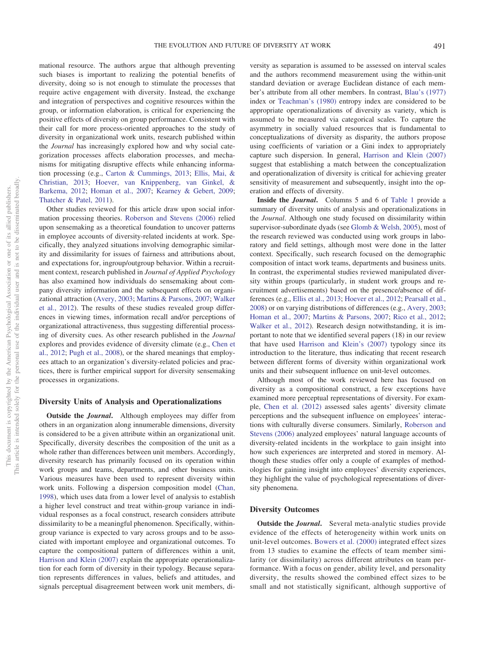mational resource. The authors argue that although preventing such biases is important to realizing the potential benefits of diversity, doing so is not enough to stimulate the processes that require active engagement with diversity. Instead, the exchange and integration of perspectives and cognitive resources within the group, or information elaboration, is critical for experiencing the positive effects of diversity on group performance. Consistent with their call for more process-oriented approaches to the study of diversity in organizational work units, research published within the *Journal* has increasingly explored how and why social categorization processes affects elaboration processes, and mechanisms for mitigating disruptive effects while enhancing information processing (e.g., [Carton & Cummings, 2013;](#page-13-12) [Ellis, Mai, &](#page-13-14) [Christian, 2013;](#page-13-14) [Hoever, van Knippenberg, van Ginkel, &](#page-14-8) [Barkema, 2012;](#page-14-8) [Homan et al., 2007;](#page-14-9) [Kearney & Gebert, 2009;](#page-14-10) [Thatcher & Patel, 2011\)](#page-15-17).

Other studies reviewed for this article draw upon social information processing theories. [Roberson and Stevens \(2006\)](#page-15-14) relied upon sensemaking as a theoretical foundation to uncover patterns in employee accounts of diversity-related incidents at work. Specifically, they analyzed situations involving demographic similarity and dissimilarity for issues of fairness and attributions about, and expectations for, ingroup/outgroup behavior. Within a recruitment context, research published in *Journal of Applied Psychology* has also examined how individuals do sensemaking about company diversity information and the subsequent effects on organizational attraction [\(Avery, 2003;](#page-13-7) [Martins & Parsons, 2007;](#page-14-11) [Walker](#page-15-18) [et al., 2012\)](#page-15-18). The results of these studies revealed group differences in viewing times, information recall and/or perceptions of organizational attractiveness, thus suggesting differential processing of diversity cues. As other research published in the *Journal* explores and provides evidence of diversity climate (e.g., [Chen et](#page-13-13) [al., 2012;](#page-13-13) [Pugh et al., 2008\)](#page-14-15), or the shared meanings that employees attach to an organization's diversity-related policies and practices, there is further empirical support for diversity sensemaking processes in organizations.

## **Diversity Units of Analysis and Operationalizations**

**Outside the** *Journal***.** Although employees may differ from others in an organization along innumerable dimensions, diversity is considered to be a given attribute within an organizational unit. Specifically, diversity describes the composition of the unit as a whole rather than differences between unit members. Accordingly, diversity research has primarily focused on its operation within work groups and teams, departments, and other business units. Various measures have been used to represent diversity within work units. Following a dispersion composition model [\(Chan,](#page-13-20) [1998\)](#page-13-20), which uses data from a lower level of analysis to establish a higher level construct and treat within-group variance in individual responses as a focal construct, research considers attribute dissimilarity to be a meaningful phenomenon. Specifically, withingroup variance is expected to vary across groups and to be associated with important employee and organizational outcomes. To capture the compositional pattern of differences within a unit, [Harrison and Klein \(2007\)](#page-14-4) explain the appropriate operationalization for each form of diversity in their typology. Because separation represents differences in values, beliefs and attitudes, and signals perceptual disagreement between work unit members, di-

versity as separation is assumed to be assessed on interval scales and the authors recommend measurement using the within-unit standard deviation or average Euclidean distance of each member's attribute from all other members. In contrast, [Blau's \(1977\)](#page-13-17) index or [Teachman's \(1980\)](#page-15-27) entropy index are considered to be appropriate operationalizations of diversity as variety, which is assumed to be measured via categorical scales. To capture the asymmetry in socially valued resources that is fundamental to conceptualizations of diversity as disparity, the authors propose using coefficients of variation or a Gini index to appropriately capture such dispersion. In general, [Harrison and Klein \(2007\)](#page-14-4) suggest that establishing a match between the conceptualization and operationalization of diversity is critical for achieving greater sensitivity of measurement and subsequently, insight into the operation and effects of diversity.

**Inside the** *Journal***.** Columns 5 and 6 of [Table 1](#page-3-0) provide a summary of diversity units of analysis and operationalizations in the *Journal*. Although one study focused on dissimilarity within supervisor-subordinate dyads (see [Glomb & Welsh, 2005\)](#page-13-16), most of the research reviewed was conducted using work groups in laboratory and field settings, although most were done in the latter context. Specifically, such research focused on the demographic composition of intact work teams, departments and business units. In contrast, the experimental studies reviewed manipulated diversity within groups (particularly, in student work groups and recruitment advertisements) based on the presence/absence of differences (e.g., [Ellis et al., 2013;](#page-13-14) [Hoever et al., 2012;](#page-14-8) [Pearsall et al.,](#page-14-14) [2008\)](#page-14-14) or on varying distributions of differences (e.g., [Avery, 2003;](#page-13-7) [Homan et al., 2007;](#page-14-9) [Martins & Parsons, 2007;](#page-14-11) [Rico et al., 2012;](#page-15-13) [Walker et al., 2012\)](#page-15-18). Research design notwithstanding, it is important to note that we identified several papers (18) in our review that have used [Harrison and Klein's \(2007\)](#page-14-4) typology since its introduction to the literature, thus indicating that recent research between different forms of diversity within organizational work units and their subsequent influence on unit-level outcomes.

Although most of the work reviewed here has focused on diversity as a compositional construct, a few exceptions have examined more perceptual representations of diversity. For example, [Chen et al. \(2012\)](#page-13-13) assessed sales agents' diversity climate perceptions and the subsequent influence on employees' interactions with culturally diverse consumers. Similarly, [Roberson and](#page-15-14) [Stevens \(2006\)](#page-15-14) analyzed employees' natural language accounts of diversity-related incidents in the workplace to gain insight into how such experiences are interpreted and stored in memory. Although these studies offer only a couple of examples of methodologies for gaining insight into employees' diversity experiences, they highlight the value of psychological representations of diversity phenomena.

## **Diversity Outcomes**

**Outside the** *Journal***.** Several meta-analytic studies provide evidence of the effects of heterogeneity within work units on unit-level outcomes. [Bowers et al. \(2000\)](#page-13-6) integrated effect sizes from 13 studies to examine the effects of team member similarity (or dissimilarity) across different attributes on team performance. With a focus on gender, ability level, and personality diversity, the results showed the combined effect sizes to be small and not statistically significant, although supportive of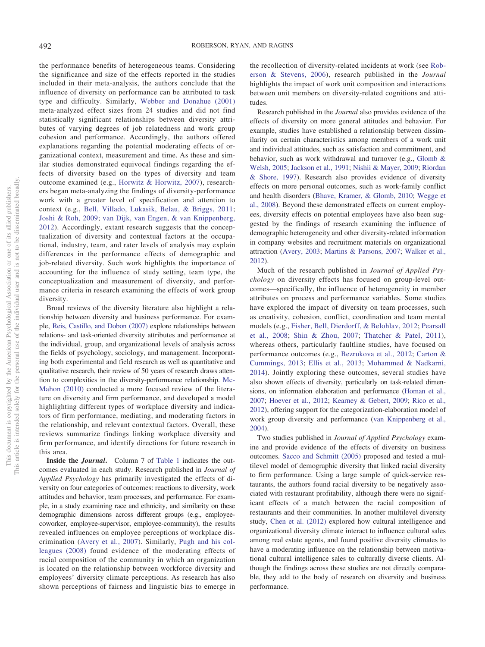the performance benefits of heterogeneous teams. Considering the significance and size of the effects reported in the studies included in their meta-analysis, the authors conclude that the influence of diversity on performance can be attributed to task type and difficulty. Similarly, [Webber and Donahue \(2001\)](#page-15-12) meta-analyzed effect sizes from 24 studies and did not find statistically significant relationships between diversity attributes of varying degrees of job relatedness and work group cohesion and performance. Accordingly, the authors offered explanations regarding the potential moderating effects of organizational context, measurement and time. As these and similar studies demonstrated equivocal findings regarding the effects of diversity based on the types of diversity and team outcome examined (e.g., [Horwitz & Horwitz, 2007\)](#page-14-7), researchers began meta-analyzing the findings of diversity-performance work with a greater level of specification and attention to context (e.g., [Bell, Villado, Lukasik, Belau, & Briggs, 2011;](#page-13-5) [Joshi & Roh, 2009;](#page-14-1) [van Dijk, van Engen, & van Knippenberg,](#page-15-28) [2012\)](#page-15-28). Accordingly, extant research suggests that the conceptualization of diversity and contextual factors at the occupational, industry, team, and rater levels of analysis may explain differences in the performance effects of demographic and job-related diversity. Such work highlights the importance of accounting for the influence of study setting, team type, the conceptualization and measurement of diversity, and performance criteria in research examining the effects of work group diversity.

Broad reviews of the diversity literature also highlight a relationship between diversity and business performance. For example, [Reis, Castillo, and Dobon \(2007\)](#page-15-29) explore relationships between relations- and task-oriented diversity attributes and performance at the individual, group, and organizational levels of analysis across the fields of psychology, sociology, and management. Incorporating both experimental and field research as well as quantitative and qualitative research, their review of 50 years of research draws attention to complexities in the diversity-performance relationship. [Mc-](#page-14-28)[Mahon \(2010\)](#page-14-28) conducted a more focused review of the literature on diversity and firm performance, and developed a model highlighting different types of workplace diversity and indicators of firm performance, mediating, and moderating factors in the relationship, and relevant contextual factors. Overall, these reviews summarize findings linking workplace diversity and firm performance, and identify directions for future research in this area.

**Inside the** *Journal***.** Column 7 of [Table 1](#page-3-0) indicates the outcomes evaluated in each study. Research published in *Journal of Applied Psychology* has primarily investigated the effects of diversity on four categories of outcomes: reactions to diversity, work attitudes and behavior, team processes, and performance. For example, in a study examining race and ethnicity, and similarity on these demographic dimensions across different groups (e.g., employeecoworker, employee-supervisor, employee-community), the results revealed influences on employee perceptions of workplace discrimination [\(Avery et al., 2007\)](#page-13-8). Similarly, [Pugh and his col](#page-14-15)[leagues \(2008\)](#page-14-15) found evidence of the moderating effects of racial composition of the community in which an organization is located on the relationship between workforce diversity and employees' diversity climate perceptions. As research has also shown perceptions of fairness and linguistic bias to emerge in the recollection of diversity-related incidents at work (see [Rob](#page-15-14)[erson & Stevens, 2006\)](#page-15-14), research published in the *Journal* highlights the impact of work unit composition and interactions between unit members on diversity-related cognitions and attitudes.

Research published in the *Journal* also provides evidence of the effects of diversity on more general attitudes and behavior. For example, studies have established a relationship between dissimilarity on certain characteristics among members of a work unit and individual attitudes, such as satisfaction and commitment, and behavior, such as work withdrawal and turnover (e.g., [Glomb &](#page-13-16) [Welsh, 2005;](#page-13-16) [Jackson et al., 1991;](#page-14-3) [Nishii & Mayer, 2009;](#page-14-13) [Riordan](#page-15-10) [& Shore, 1997\)](#page-15-10). Research also provides evidence of diversity effects on more personal outcomes, such as work-family conflict and health disorders [\(Bhave, Kramer, & Glomb, 2010;](#page-13-10) [Wegge et](#page-16-1) [al., 2008\)](#page-16-1). Beyond these demonstrated effects on current employees, diversity effects on potential employees have also been suggested by the findings of research examining the influence of demographic heterogeneity and other diversity-related information in company websites and recruitment materials on organizational attraction [\(Avery, 2003;](#page-13-7) [Martins & Parsons, 2007;](#page-14-11) [Walker et al.,](#page-15-18) [2012\)](#page-15-18).

Much of the research published in *Journal of Applied Psychology* on diversity effects has focused on group-level outcomes—specifically, the influence of heterogeneity in member attributes on process and performance variables. Some studies have explored the impact of diversity on team processes, such as creativity, cohesion, conflict, coordination and team mental models (e.g., [Fisher, Bell, Dierdorff, & Belohlav, 2012;](#page-13-15) [Pearsall](#page-14-14) [et al., 2008;](#page-14-14) [Shin & Zhou, 2007;](#page-15-16) [Thatcher & Patel, 2011\)](#page-15-17), whereas others, particularly faultline studies, have focused on performance outcomes (e.g., [Bezrukova et al., 2012;](#page-13-9) [Carton &](#page-13-12) [Cummings, 2013;](#page-13-12) [Ellis et al., 2013;](#page-13-14) [Mohammed & Nadkarni,](#page-14-12) [2014\)](#page-14-12). Jointly exploring these outcomes, several studies have also shown effects of diversity, particularly on task-related dimensions, on information elaboration and performance [\(Homan et](#page-14-9) al., [2007;](#page-14-9) [Hoever et al., 2012;](#page-14-8) [Kearney & Gebert, 2009;](#page-14-10) [Rico et al.,](#page-15-13) [2012\)](#page-15-13), offering support for the categorization-elaboration model of work group diversity and performance [\(van Knippenberg et al.,](#page-15-26) [2004\)](#page-15-26).

Two studies published in *Journal of Applied Psychology* examine and provide evidence of the effects of diversity on business outcomes. [Sacco and Schmitt \(2005\)](#page-15-15) proposed and tested a multilevel model of demographic diversity that linked racial diversity to firm performance. Using a large sample of quick-service restaurants, the authors found racial diversity to be negatively associated with restaurant profitability, although there were no significant effects of a match between the racial composition of restaurants and their communities. In another multilevel diversity study, [Chen et al. \(2012\)](#page-13-13) explored how cultural intelligence and organizational diversity climate interact to influence cultural sales among real estate agents, and found positive diversity climates to have a moderating influence on the relationship between motivational cultural intelligence sales to culturally diverse clients. Although the findings across these studies are not directly comparable, they add to the body of research on diversity and business performance.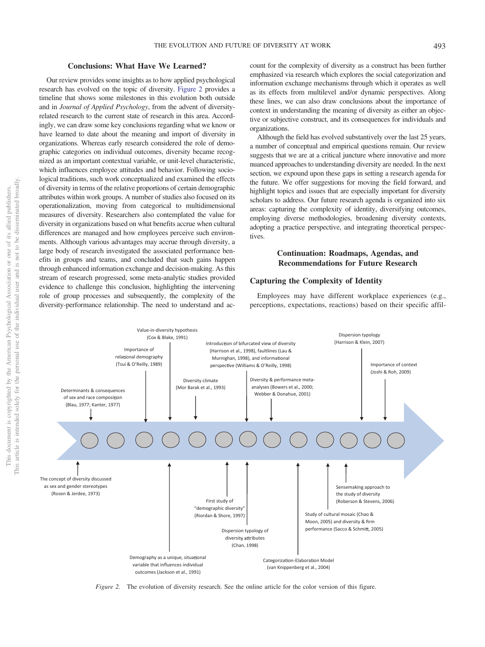## **Conclusions: What Have We Learned?**

Our review provides some insights as to how applied psychological research has evolved on the topic of diversity. [Figure 2](#page-10-0) provides a timeline that shows some milestones in this evolution both outside and in *Journal of Applied Psychology*, from the advent of diversityrelated research to the current state of research in this area. Accordingly, we can draw some key conclusions regarding what we know or have learned to date about the meaning and import of diversity in organizations. Whereas early research considered the role of demographic categories on individual outcomes, diversity became recognized as an important contextual variable, or unit-level characteristic, which influences employee attitudes and behavior. Following sociological traditions, such work conceptualized and examined the effects of diversity in terms of the relative proportions of certain demographic attributes within work groups. A number of studies also focused on its operationalization, moving from categorical to multidimensional measures of diversity. Researchers also contemplated the value for diversity in organizations based on what benefits accrue when cultural differences are managed and how employees perceive such environments. Although various advantages may accrue through diversity, a large body of research investigated the associated performance benefits in groups and teams, and concluded that such gains happen through enhanced information exchange and decision-making. As this stream of research progressed, some meta-analytic studies provided evidence to challenge this conclusion, highlighting the intervening role of group processes and subsequently, the complexity of the diversity-performance relationship. The need to understand and account for the complexity of diversity as a construct has been further emphasized via research which explores the social categorization and information exchange mechanisms through which it operates as well as its effects from multilevel and/or dynamic perspectives. Along these lines, we can also draw conclusions about the importance of context in understanding the meaning of diversity as either an objective or subjective construct, and its consequences for individuals and organizations.

Although the field has evolved substantively over the last 25 years, a number of conceptual and empirical questions remain. Our review suggests that we are at a critical juncture where innovative and more nuanced approaches to understanding diversity are needed. In the next section, we expound upon these gaps in setting a research agenda for the future. We offer suggestions for moving the field forward, and highlight topics and issues that are especially important for diversity scholars to address. Our future research agenda is organized into six areas: capturing the complexity of identity, diversifying outcomes, employing diverse methodologies, broadening diversity contexts, adopting a practice perspective, and integrating theoretical perspectives.

## **Continuation: Roadmaps, Agendas, and Recommendations for Future Research**

## **Capturing the Complexity of Identity**

Employees may have different workplace experiences (e.g., perceptions, expectations, reactions) based on their specific affil-



<span id="page-10-0"></span>*Figure 2.* The evolution of diversity research. See the online article for the color version of this figure.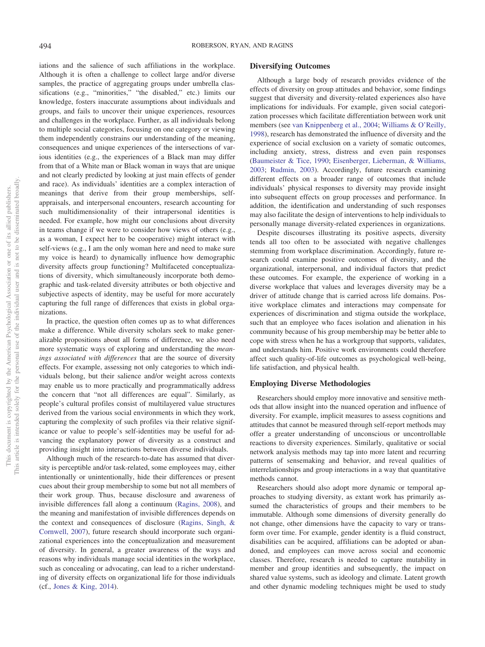iations and the salience of such affiliations in the workplace. Although it is often a challenge to collect large and/or diverse samples, the practice of aggregating groups under umbrella classifications (e.g., "minorities," "the disabled," etc.) limits our knowledge, fosters inaccurate assumptions about individuals and groups, and fails to uncover their unique experiences, resources and challenges in the workplace. Further, as all individuals belong to multiple social categories, focusing on one category or viewing them independently constrains our understanding of the meaning, consequences and unique experiences of the intersections of various identities (e.g., the experiences of a Black man may differ from that of a White man or Black woman in ways that are unique and not clearly predicted by looking at just main effects of gender and race). As individuals' identities are a complex interaction of meanings that derive from their group memberships, selfappraisals, and interpersonal encounters, research accounting for such multidimensionality of their intrapersonal identities is needed. For example, how might our conclusions about diversity in teams change if we were to consider how views of others (e.g., as a woman, I expect her to be cooperative) might interact with self-views (e.g., I am the only woman here and need to make sure my voice is heard) to dynamically influence how demographic diversity affects group functioning? Multifaceted conceptualizations of diversity, which simultaneously incorporate both demographic and task-related diversity attributes or both objective and subjective aspects of identity, may be useful for more accurately capturing the full range of differences that exists in global organizations.

In practice, the question often comes up as to what differences make a difference. While diversity scholars seek to make generalizable propositions about all forms of difference, we also need more systematic ways of exploring and understanding the *meanings associated with differences* that are the source of diversity effects. For example, assessing not only categories to which individuals belong, but their salience and/or weight across contexts may enable us to more practically and programmatically address the concern that "not all differences are equal". Similarly, as people's cultural profiles consist of multilayered value structures derived from the various social environments in which they work, capturing the complexity of such profiles via their relative significance or value to people's self-identities may be useful for advancing the explanatory power of diversity as a construct and providing insight into interactions between diverse individuals.

Although much of the research-to-date has assumed that diversity is perceptible and/or task-related, some employees may, either intentionally or unintentionally, hide their differences or present cues about their group membership to some but not all members of their work group. Thus, because disclosure and awareness of invisible differences fall along a continuum [\(Ragins, 2008\)](#page-15-30), and the meaning and manifestation of invisible differences depends on the context and consequences of disclosure [\(Ragins, Singh, &](#page-15-31) [Cornwell, 2007\)](#page-15-31), future research should incorporate such organizational experiences into the conceptualization and measurement of diversity. In general, a greater awareness of the ways and reasons why individuals manage social identities in the workplace, such as concealing or advocating, can lead to a richer understanding of diversity effects on organizational life for those individuals (cf., [Jones & King, 2014\)](#page-14-29).

### **Diversifying Outcomes**

Although a large body of research provides evidence of the effects of diversity on group attitudes and behavior, some findings suggest that diversity and diversity-related experiences also have implications for individuals. For example, given social categorization processes which facilitate differentiation between work unit members (see [van Knippenberg et al., 2004;](#page-15-26) [Williams & O'Reilly,](#page-16-0) [1998\)](#page-16-0), research has demonstrated the influence of diversity and the experience of social exclusion on a variety of somatic outcomes, including anxiety, stress, distress and even pain responses [\(Baumeister & Tice, 1990;](#page-13-21) [Eisenberger, Lieberman, & Williams,](#page-13-22) [2003;](#page-13-22) [Rudmin, 2003\)](#page-15-32). Accordingly, future research examining different effects on a broader range of outcomes that include individuals' physical responses to diversity may provide insight into subsequent effects on group processes and performance. In addition, the identification and understanding of such responses may also facilitate the design of interventions to help individuals to personally manage diversity-related experiences in organizations.

Despite discourses illustrating its positive aspects, diversity tends all too often to be associated with negative challenges stemming from workplace discrimination. Accordingly, future research could examine positive outcomes of diversity, and the organizational, interpersonal, and individual factors that predict these outcomes. For example, the experience of working in a diverse workplace that values and leverages diversity may be a driver of attitude change that is carried across life domains. Positive workplace climates and interactions may compensate for experiences of discrimination and stigma outside the workplace, such that an employee who faces isolation and alienation in his community because of his group membership may be better able to cope with stress when he has a workgroup that supports, validates, and understands him. Positive work environments could therefore affect such quality-of-life outcomes as psychological well-being, life satisfaction, and physical health.

#### **Employing Diverse Methodologies**

Researchers should employ more innovative and sensitive methods that allow insight into the nuanced operation and influence of diversity. For example, implicit measures to assess cognitions and attitudes that cannot be measured through self-report methods may offer a greater understanding of unconscious or uncontrollable reactions to diversity experiences. Similarly, qualitative or social network analysis methods may tap into more latent and recurring patterns of sensemaking and behavior, and reveal qualities of interrelationships and group interactions in a way that quantitative methods cannot.

Researchers should also adopt more dynamic or temporal approaches to studying diversity, as extant work has primarily assumed the characteristics of groups and their members to be immutable. Although some dimensions of diversity generally do not change, other dimensions have the capacity to vary or transform over time. For example, gender identity is a fluid construct, disabilities can be acquired, affiliations can be adopted or abandoned, and employees can move across social and economic classes. Therefore, research is needed to capture mutability in member and group identities and subsequently, the impact on shared value systems, such as ideology and climate. Latent growth and other dynamic modeling techniques might be used to study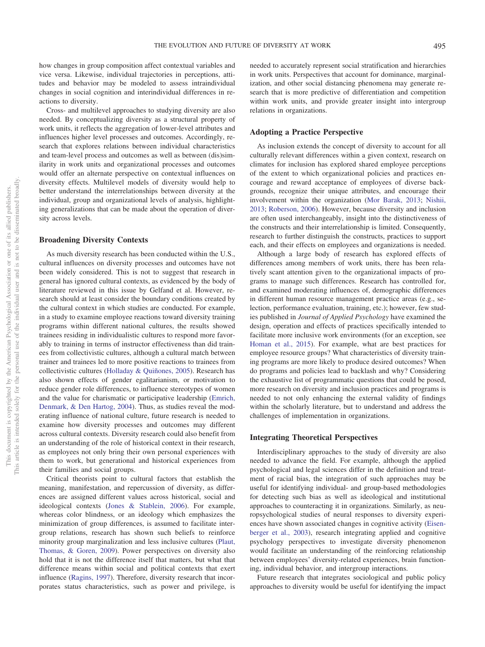how changes in group composition affect contextual variables and vice versa. Likewise, individual trajectories in perceptions, attitudes and behavior may be modeled to assess intraindividual changes in social cognition and interindividual differences in reactions to diversity.

Cross- and multilevel approaches to studying diversity are also needed. By conceptualizing diversity as a structural property of work units, it reflects the aggregation of lower-level attributes and influences higher level processes and outcomes. Accordingly, research that explores relations between individual characteristics and team-level process and outcomes as well as between (dis)similarity in work units and organizational processes and outcomes would offer an alternate perspective on contextual influences on diversity effects. Multilevel models of diversity would help to better understand the interrelationships between diversity at the individual, group and organizational levels of analysis, highlighting generalizations that can be made about the operation of diversity across levels.

## **Broadening Diversity Contexts**

As much diversity research has been conducted within the U.S., cultural influences on diversity processes and outcomes have not been widely considered. This is not to suggest that research in general has ignored cultural contexts, as evidenced by the body of literature reviewed in this issue by Gelfand et al. However, research should at least consider the boundary conditions created by the cultural context in which studies are conducted. For example, in a study to examine employee reactions toward diversity training programs within different national cultures, the results showed trainees residing in individualistic cultures to respond more favorably to training in terms of instructor effectiveness than did trainees from collectivistic cultures, although a cultural match between trainer and trainees led to more positive reactions to trainees from collectivistic cultures [\(Holladay & Quiñones, 2005\)](#page-14-30). Research has also shown effects of gender egalitarianism, or motivation to reduce gender role differences, to influence stereotypes of women and the value for charismatic or participative leadership [\(Emrich,](#page-13-23) [Denmark, & Den Hartog, 2004\)](#page-13-23). Thus, as studies reveal the moderating influence of national culture, future research is needed to examine how diversity processes and outcomes may different across cultural contexts. Diversity research could also benefit from an understanding of the role of historical context in their research, as employees not only bring their own personal experiences with them to work, but generational and historical experiences from their families and social groups.

Critical theorists point to cultural factors that establish the meaning, manifestation, and repercussion of diversity, as differences are assigned different values across historical, social and ideological contexts [\(Jones & Stablein, 2006\)](#page-14-31). For example, whereas color blindness, or an ideology which emphasizes the minimization of group differences, is assumed to facilitate intergroup relations, research has shown such beliefs to reinforce minority group marginalization and less inclusive cultures [\(Plaut,](#page-14-32) [Thomas, & Goren, 2009\)](#page-14-32). Power perspectives on diversity also hold that it is not the difference itself that matters, but what that difference means within social and political contexts that exert influence [\(Ragins, 1997\)](#page-15-33). Therefore, diversity research that incorporates status characteristics, such as power and privilege, is needed to accurately represent social stratification and hierarchies in work units. Perspectives that account for dominance, marginalization, and other social distancing phenomena may generate research that is more predictive of differentiation and competition within work units, and provide greater insight into intergroup relations in organizations.

## **Adopting a Practice Perspective**

As inclusion extends the concept of diversity to account for all culturally relevant differences within a given context, research on climates for inclusion has explored shared employee perceptions of the extent to which organizational policies and practices encourage and reward acceptance of employees of diverse backgrounds, recognize their unique attributes, and encourage their involvement within the organization [\(Mor Barak, 2013;](#page-14-33) [Nishii,](#page-14-34) [2013;](#page-14-34) [Roberson, 2006\)](#page-15-34). However, because diversity and inclusion are often used interchangeably, insight into the distinctiveness of the constructs and their interrelationship is limited. Consequently, research to further distinguish the constructs, practices to support each, and their effects on employees and organizations is needed.

Although a large body of research has explored effects of differences among members of work units, there has been relatively scant attention given to the organizational impacts of programs to manage such differences. Research has controlled for, and examined moderating influences of, demographic differences in different human resource management practice areas (e.g., selection, performance evaluation, training, etc.); however, few studies published in *Journal of Applied Psychology* have examined the design, operation and effects of practices specifically intended to facilitate more inclusive work environments (for an exception, see [Homan et al., 2015\)](#page-14-35). For example, what are best practices for employee resource groups? What characteristics of diversity training programs are more likely to produce desired outcomes? When do programs and policies lead to backlash and why? Considering the exhaustive list of programmatic questions that could be posed, more research on diversity and inclusion practices and programs is needed to not only enhancing the external validity of findings within the scholarly literature, but to understand and address the challenges of implementation in organizations.

#### **Integrating Theoretical Perspectives**

Interdisciplinary approaches to the study of diversity are also needed to advance the field. For example, although the applied psychological and legal sciences differ in the definition and treatment of racial bias, the integration of such approaches may be useful for identifying individual- and group-based methodologies for detecting such bias as well as ideological and institutional approaches to counteracting it in organizations. Similarly, as neuropsychological studies of neural responses to diversity experiences have shown associated changes in cognitive activity [\(Eisen](#page-13-22)[berger et al., 2003\)](#page-13-22), research integrating applied and cognitive psychology perspectives to investigate diversity phenomenon would facilitate an understanding of the reinforcing relationship between employees' diversity-related experiences, brain functioning, individual behavior, and intergroup interactions.

Future research that integrates sociological and public policy approaches to diversity would be useful for identifying the impact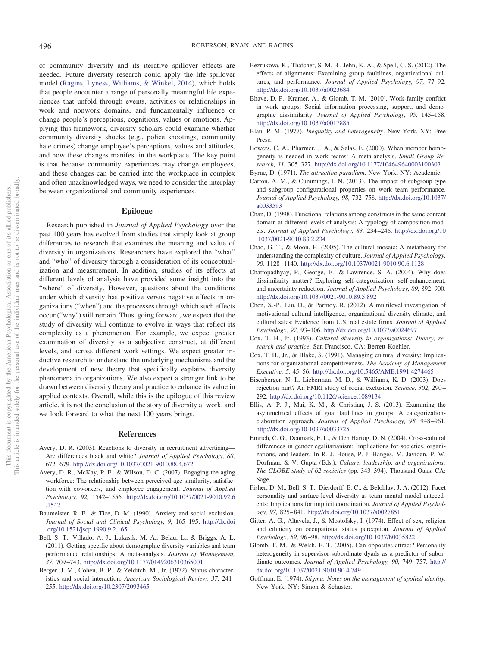of community diversity and its iterative spillover effects are needed. Future diversity research could apply the life spillover model [\(Ragins, Lyness, Williams, & Winkel, 2014\)](#page-15-35), which holds that people encounter a range of personally meaningful life experiences that unfold through events, activities or relationships in work and nonwork domains, and fundamentally influence or change people's perceptions, cognitions, values or emotions. Applying this framework, diversity scholars could examine whether community diversity shocks (e.g., police shootings, community hate crimes) change employee's perceptions, values and attitudes, and how these changes manifest in the workplace. The key point is that because community experiences may change employees, and these changes can be carried into the workplace in complex and often unacknowledged ways, we need to consider the interplay between organizational and community experiences.

## **Epilogue**

Research published in *Journal of Applied Psychology* over the past 100 years has evolved from studies that simply look at group differences to research that examines the meaning and value of diversity in organizations. Researchers have explored the "what" and "who" of diversity through a consideration of its conceptualization and measurement. In addition, studies of its effects at different levels of analysis have provided some insight into the "where" of diversity. However, questions about the conditions under which diversity has positive versus negative effects in organizations ("when") and the processes through which such effects occur ("why") still remain. Thus, going forward, we expect that the study of diversity will continue to evolve in ways that reflect its complexity as a phenomenon. For example, we expect greater examination of diversity as a subjective construct, at different levels, and across different work settings. We expect greater inductive research to understand the underlying mechanisms and the development of new theory that specifically explains diversity phenomena in organizations. We also expect a stronger link to be drawn between diversity theory and practice to enhance its value in applied contexts. Overall, while this is the epilogue of this review article, it is not the conclusion of the story of diversity at work, and we look forward to what the next 100 years brings.

#### **References**

- <span id="page-13-7"></span>Avery, D. R. (2003). Reactions to diversity in recruitment advertising— Are differences black and white? *Journal of Applied Psychology, 88,* 672– 679. <http://dx.doi.org/10.1037/0021-9010.88.4.672>
- <span id="page-13-8"></span>Avery, D. R., McKay, P. F., & Wilson, D. C. (2007). Engaging the aging workforce: The relationship between perceived age similarity, satisfaction with coworkers, and employee engagement. *Journal of Applied Psychology, 92,* 1542–1556. [http://dx.doi.org/10.1037/0021-9010.92.6](http://dx.doi.org/10.1037/0021-9010.92.6.1542) [.1542](http://dx.doi.org/10.1037/0021-9010.92.6.1542)
- <span id="page-13-21"></span>Baumeister, R. F., & Tice, D. M. (1990). Anxiety and social exclusion. *Journal of Social and Clinical Psychology, 9,* 165–195. [http://dx.doi](http://dx.doi.org/10.1521/jscp.1990.9.2.165) [.org/10.1521/jscp.1990.9.2.165](http://dx.doi.org/10.1521/jscp.1990.9.2.165)
- <span id="page-13-5"></span>Bell, S. T., Villado, A. J., Lukasik, M. A., Belau, L., & Briggs, A. L. (2011). Getting specific about demographic diversity variables and team performance relationships: A meta-analysis. *Journal of Management, 37,* 709 –743. <http://dx.doi.org/10.1177/0149206310365001>
- <span id="page-13-1"></span>Berger, J. M., Cohen, B. P., & Zelditch, M., Jr. (1972). Status characteristics and social interaction. *American Sociological Review, 37,* 241– 255. <http://dx.doi.org/10.2307/2093465>
- <span id="page-13-9"></span>Bezrukova, K., Thatcher, S. M. B., Jehn, K. A., & Spell, C. S. (2012). The effects of alignments: Examining group faultlines, organizational cultures, and performance. *Journal of Applied Psychology, 97,* 77–92. <http://dx.doi.org/10.1037/a0023684>
- <span id="page-13-10"></span>Bhave, D. P., Kramer, A., & Glomb, T. M. (2010). Work-family conflict in work groups: Social information processing, support, and demographic dissimilarity. *Journal of Applied Psychology, 95,* 145–158. <http://dx.doi.org/10.1037/a0017885>
- <span id="page-13-17"></span>Blau, P. M. (1977). *Inequality and heterogeneity*. New York, NY: Free Press.
- <span id="page-13-6"></span>Bowers, C. A., Pharmer, J. A., & Salas, E. (2000). When member homogeneity is needed in work teams: A meta-analysis. *Small Group Research, 31,* 305–327. <http://dx.doi.org/10.1177/104649640003100303>
- <span id="page-13-19"></span>Byrne, D. (1971). *The attraction paradigm*. New York, NY: Academic.
- <span id="page-13-12"></span>Carton, A. M., & Cummings, J. N. (2013). The impact of subgroup type and subgroup configurational properties on work team performance. *Journal of Applied Psychology, 98,* 732–758. [http://dx.doi.org/10.1037/](http://dx.doi.org/10.1037/a0033593) [a0033593](http://dx.doi.org/10.1037/a0033593)
- <span id="page-13-20"></span>Chan, D. (1998). Functional relations among constructs in the same content domain at different levels of analysis: A typology of composition models. *Journal of Applied Psychology, 83,* 234 –246. [http://dx.doi.org/10](http://dx.doi.org/10.1037/0021-9010.83.2.234) [.1037/0021-9010.83.2.234](http://dx.doi.org/10.1037/0021-9010.83.2.234)
- <span id="page-13-18"></span>Chao, G. T., & Moon, H. (2005). The cultural mosaic: A metatheory for understanding the complexity of culture. *Journal of Applied Psychology, 90,* 1128 –1140. <http://dx.doi.org/10.1037/0021-9010.90.6.1128>
- <span id="page-13-11"></span>Chattopadhyay, P., George, E., & Lawrence, S. A. (2004). Why does dissimilarity matter? Exploring self-categorization, self-enhancement, and uncertainty reduction. *Journal of Applied Psychology, 89,* 892–900. <http://dx.doi.org/10.1037/0021-9010.89.5.892>
- <span id="page-13-13"></span>Chen, X.-P., Liu, D., & Portnoy, R. (2012). A multilevel investigation of motivational cultural intelligence, organizational diversity climate, and cultural sales: Evidence from U.S. real estate firms. *Journal of Applied Psychology, 97,* 93–106. <http://dx.doi.org/10.1037/a0024697>
- <span id="page-13-3"></span>Cox, T. H., Jr. (1993). *Cultural diversity in organizations: Theory, research and practice*. San Francisco, CA: Berrett-Koehler.
- <span id="page-13-2"></span>Cox, T. H., Jr., & Blake, S. (1991). Managing cultural diversity: Implications for organizational competitiveness. *The Academy of Management Executive, 5,* 45–56. <http://dx.doi.org/10.5465/AME.1991.4274465>
- <span id="page-13-22"></span>Eisenberger, N. I., Lieberman, M. D., & Williams, K. D. (2003). Does rejection hurt? An FMRI study of social exclusion. *Science, 302,* 290 – 292. <http://dx.doi.org/10.1126/science.1089134>
- <span id="page-13-14"></span>Ellis, A. P. J., Mai, K. M., & Christian, J. S. (2013). Examining the asymmetrical effects of goal faultlines in groups: A categorizationelaboration approach. *Journal of Applied Psychology, 98,* 948 –961. <http://dx.doi.org/10.1037/a0033725>
- <span id="page-13-23"></span>Emrich, C. G., Denmark, F. L., & Den Hartog, D. N. (2004). Cross-cultural differences in gender egalitarianism: Implications for societies, organizations, and leaders. In R. J. House, P. J. Hanges, M. Javidan, P. W. Dorfman, & V. Gupta (Eds.), *Culture, leadership, and organizations: The GLOBE study of 62 societies* (pp. 343–394). Thousand Oaks, CA: Sage.
- <span id="page-13-15"></span>Fisher, D. M., Bell, S. T., Dierdorff, E. C., & Belohlav, J. A. (2012). Facet personality and surface-level diversity as team mental model antecedents: Implications for implicit coordination. *Journal of Applied Psychology, 97,* 825– 841. <http://dx.doi.org/10.1037/a0027851>
- <span id="page-13-4"></span>Gitter, A. G., Altavela, J., & Mostofsky, I. (1974). Effect of sex, religion and ethnicity on occupational status perception. *Journal of Applied Psychology, 59,* 96 –98. <http://dx.doi.org/10.1037/h0035822>
- <span id="page-13-16"></span>Glomb, T. M., & Welsh, E. T. (2005). Can opposites attract? Personality heterogeneity in supervisor-subordinate dyads as a predictor of subordinate outcomes. *Journal of Applied Psychology, 90,* 749 –757. [http://](http://dx.doi.org/10.1037/0021-9010.90.4.749) [dx.doi.org/10.1037/0021-9010.90.4.749](http://dx.doi.org/10.1037/0021-9010.90.4.749)
- <span id="page-13-0"></span>Goffman, E. (1974). *Stigma: Notes on the management of spoiled identity*. New York, NY: Simon & Schuster.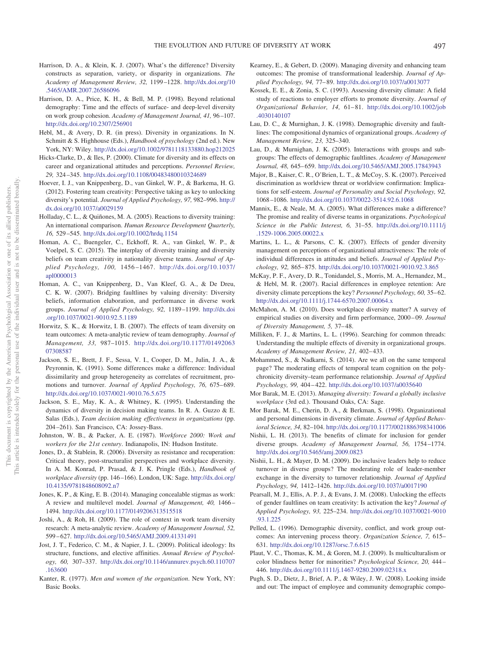- <span id="page-14-4"></span>Harrison, D. A., & Klein, K. J. (2007). What's the difference? Diversity constructs as separation, variety, or disparity in organizations. *The Academy of Management Review, 32,* 1199 –1228. [http://dx.doi.org/10](http://dx.doi.org/10.5465/AMR.2007.26586096) [.5465/AMR.2007.26586096](http://dx.doi.org/10.5465/AMR.2007.26586096)
- <span id="page-14-16"></span>Harrison, D. A., Price, K. H., & Bell, M. P. (1998). Beyond relational demography: Time and the effects of surface- and deep-level diversity on work group cohesion. *Academy of Management Journal, 41,* 96 –107. <http://dx.doi.org/10.2307/256901>
- <span id="page-14-0"></span>Hebl, M., & Avery, D. R. (in press). Diversity in organizations. In N. Schmitt & S. Highhouse (Eds.), *Handbook of psychology* (2nd ed.). New York, NY: Wiley. <http://dx.doi.org/10.1002/9781118133880.hop212025>
- <span id="page-14-24"></span>Hicks-Clarke, D., & Iles, P. (2000). Climate for diversity and its effects on career and organizational attitudes and perceptions. *Personnel Review, 29,* 324 –345. <http://dx.doi.org/10.1108/00483480010324689>
- <span id="page-14-8"></span>Hoever, I. J., van Knippenberg, D., van Ginkel, W. P., & Barkema, H. G. (2012). Fostering team creativity: Perspective taking as key to unlocking diversity's potential. *Journal of Applied Psychology, 97,* 982–996. [http://](http://dx.doi.org/10.1037/a0029159) [dx.doi.org/10.1037/a0029159](http://dx.doi.org/10.1037/a0029159)
- <span id="page-14-30"></span>Holladay, C. L., & Quiñones, M. A. (2005). Reactions to diversity training: An international comparison. *Human Resource Development Quarterly, 16,* 529 –545. <http://dx.doi.org/10.1002/hrdq.1154>
- <span id="page-14-35"></span>Homan, A. C., Buengeler, C., Eckhoff, R. A., van Ginkel, W. P., & Voelpel, S. C. (2015). The interplay of diversity training and diversity beliefs on team creativity in nationality diverse teams. *Journal of Applied Psychology, 100,* 1456 –1467. [http://dx.doi.org/10.1037/](http://dx.doi.org/10.1037/apl0000013) [apl0000013](http://dx.doi.org/10.1037/apl0000013)
- <span id="page-14-9"></span>Homan, A. C., van Knippenberg, D., Van Kleef, G. A., & De Dreu, C. K. W. (2007). Bridging faultlines by valuing diversity: Diversity beliefs, information elaboration, and performance in diverse work groups. *Journal of Applied Psychology, 92,* 1189 –1199. [http://dx.doi](http://dx.doi.org/10.1037/0021-9010.92.5.1189) [.org/10.1037/0021-9010.92.5.1189](http://dx.doi.org/10.1037/0021-9010.92.5.1189)
- <span id="page-14-7"></span>Horwitz, S. K., & Horwitz, I. B. (2007). The effects of team diversity on team outcomes: A meta-analytic review of team demography. *Journal of Management, 33,* 987–1015. [http://dx.doi.org/10.1177/01492063](http://dx.doi.org/10.1177/0149206307308587) [07308587](http://dx.doi.org/10.1177/0149206307308587)
- <span id="page-14-3"></span>Jackson, S. E., Brett, J. F., Sessa, V. I., Cooper, D. M., Julin, J. A., & Peyronnin, K. (1991). Some differences make a difference: Individual dissimilarity and group heterogeneity as correlates of recruitment, promotions and turnover. *Journal of Applied Psychology, 76,* 675– 689. <http://dx.doi.org/10.1037/0021-9010.76.5.675>
- <span id="page-14-17"></span>Jackson, S. E., May, K. A., & Whitney, K. (1995). Understanding the dynamics of diversity in decision making teams. In R. A. Guzzo & E. Salas (Eds.), *Team decision making effectiveness in organizations* (pp. 204 –261). San Francisco, CA: Jossey-Bass.
- <span id="page-14-2"></span>Johnston, W. B., & Packer, A. E. (1987). *Workforce 2000: Work and workers for the 21st century*. Indianapolis, IN: Hudson Institute.
- <span id="page-14-31"></span>Jones, D., & Stablein, R. (2006). Diversity as resistance and recuperation: Critical theory, post-structuralist perspectives and workplace diversity. In A. M. Konrad, P. Prasad, & J. K. Pringle (Eds.), *Handbook of workplace diversity* (pp. 146 –166). London, UK: Sage. [http://dx.doi.org/](http://dx.doi.org/10.4135/9781848608092.n7) [10.4135/9781848608092.n7](http://dx.doi.org/10.4135/9781848608092.n7)
- <span id="page-14-29"></span>Jones, K. P., & King, E. B. (2014). Managing concealable stigmas as work: A review and multilevel model. *Journal of Management, 40,* 1466 – 1494. <http://dx.doi.org/10.1177/0149206313515518>
- <span id="page-14-1"></span>Joshi, A., & Roh, H. (2009). The role of context in work team diversity research: A meta-analytic review. *Academy of Management Journal, 52,* 599 – 627. <http://dx.doi.org/10.5465/AMJ.2009.41331491>
- <span id="page-14-22"></span>Jost, J. T., Federico, C. M., & Napier, J. L. (2009). Political ideology: Its structure, functions, and elective affinities. *Annual Review of Psychology, 60,* 307–337. [http://dx.doi.org/10.1146/annurev.psych.60.110707](http://dx.doi.org/10.1146/annurev.psych.60.110707.163600) [.163600](http://dx.doi.org/10.1146/annurev.psych.60.110707.163600)
- <span id="page-14-19"></span>Kanter, R. (1977). *Men and women of the organization*. New York, NY: Basic Books.
- <span id="page-14-10"></span>Kearney, E., & Gebert, D. (2009). Managing diversity and enhancing team outcomes: The promise of transformational leadership. *Journal of Applied Psychology, 94,* 77– 89. <http://dx.doi.org/10.1037/a0013077>
- <span id="page-14-25"></span>Kossek, E. E., & Zonia, S. C. (1993). Assessing diversity climate: A field study of reactions to employer efforts to promote diversity. *Journal of Organizational Behavior, 14,* 61– 81. [http://dx.doi.org/10.1002/job](http://dx.doi.org/10.1002/job.4030140107) [.4030140107](http://dx.doi.org/10.1002/job.4030140107)
- <span id="page-14-20"></span>Lau, D. C., & Murnighan, J. K. (1998). Demographic diversity and faultlines: The compositional dynamics of organizational groups. *Academy of Management Review, 23,* 325–340.
- <span id="page-14-21"></span>Lau, D., & Murnighan, J. K. (2005). Interactions with groups and subgroups: The effects of demographic faultlines. *Academy of Management Journal, 48,* 645– 659. <http://dx.doi.org/10.5465/AMJ.2005.17843943>
- <span id="page-14-23"></span>Major, B., Kaiser, C. R., O'Brien, L. T., & McCoy, S. K. (2007). Perceived discrimination as worldview threat or worldview confirmation: Implications for self-esteem. *Journal of Personality and Social Psychology, 92,* 1068 –1086. <http://dx.doi.org/10.1037/0022-3514.92.6.1068>
- <span id="page-14-5"></span>Mannix, E., & Neale, M. A. (2005). What differences make a difference? The promise and reality of diverse teams in organizations. *Psychological Science in the Public Interest, 6,* 31–55. [http://dx.doi.org/10.1111/j](http://dx.doi.org/10.1111/j.1529-1006.2005.00022.x) [.1529-1006.2005.00022.x](http://dx.doi.org/10.1111/j.1529-1006.2005.00022.x)
- <span id="page-14-11"></span>Martins, L. L., & Parsons, C. K. (2007). Effects of gender diversity management on perceptions of organizational attractiveness: The role of individual differences in attitudes and beliefs. *Journal of Applied Psychology, 92,* 865– 875. <http://dx.doi.org/10.1037/0021-9010.92.3.865>
- <span id="page-14-26"></span>McKay, P. F., Avery, D. R., Tonidandel, S., Morris, M. A., Hernandez, M., & Hebl, M. R. (2007). Racial differences in employee retention: Are diversity climate perceptions the key? *Personnel Psychology*, 60, 35-62. <http://dx.doi.org/10.1111/j.1744-6570.2007.00064.x>
- <span id="page-14-28"></span>McMahon, A. M. (2010). Does workplace diversity matter? A survey of empirical studies on diversity and firm performance, 2000 – 09. *Journal of Diversity Management, 5,* 37– 48.
- <span id="page-14-6"></span>Milliken, F. J., & Martins, L. L. (1996). Searching for common threads: Understanding the multiple effects of diversity in organizational groups. *Academy of Management Review, 21,* 402– 433.
- <span id="page-14-12"></span>Mohammed, S., & Nadkarni, S. (2014). Are we all on the same temporal page? The moderating effects of temporal team cognition on the polychronicity diversity–team performance relationship. *Journal of Applied Psychology, 99,* 404 – 422. <http://dx.doi.org/10.1037/a0035640>
- <span id="page-14-33"></span>Mor Barak, M. E. (2013). *Managing diversity: Toward a globally inclusive workplace* (3rd ed.). Thousand Oaks, CA: Sage.
- <span id="page-14-27"></span>Mor Barak, M. E., Cherin, D. A., & Berkman, S. (1998). Organizational and personal dimensions in diversity climate. *Journal of Applied Behavioral Science, 34,* 82–104. <http://dx.doi.org/10.1177/0021886398341006>
- <span id="page-14-34"></span>Nishii, L. H. (2013). The benefits of climate for inclusion for gender diverse groups. *Academy of Management Journal, 56,* 1754 –1774. <http://dx.doi.org/10.5465/amj.2009.0823>
- <span id="page-14-13"></span>Nishii, L. H., & Mayer, D. M. (2009). Do inclusive leaders help to reduce turnover in diverse groups? The moderating role of leader-member exchange in the diversity to turnover relationship. *Journal of Applied Psychology, 94,* 1412–1426. <http://dx.doi.org/10.1037/a0017190>
- <span id="page-14-14"></span>Pearsall, M. J., Ellis, A. P. J., & Evans, J. M. (2008). Unlocking the effects of gender faultlines on team creativity: Is activation the key? *Journal of Applied Psychology, 93,* 225–234. [http://dx.doi.org/10.1037/0021-9010](http://dx.doi.org/10.1037/0021-9010.93.1.225) [.93.1.225](http://dx.doi.org/10.1037/0021-9010.93.1.225)
- <span id="page-14-18"></span>Pelled, L. (1996). Demographic diversity, conflict, and work group outcomes: An intervening process theory. *Organization Science, 7,* 615– 631. <http://dx.doi.org/10.1287/orsc.7.6.615>
- <span id="page-14-32"></span>Plaut, V. C., Thomas, K. M., & Goren, M. J. (2009). Is multiculturalism or color blindness better for minorities? *Psychological Science, 20,* 444 – 446. <http://dx.doi.org/10.1111/j.1467-9280.2009.02318.x>
- <span id="page-14-15"></span>Pugh, S. D., Dietz, J., Brief, A. P., & Wiley, J. W. (2008). Looking inside and out: The impact of employee and community demographic compo-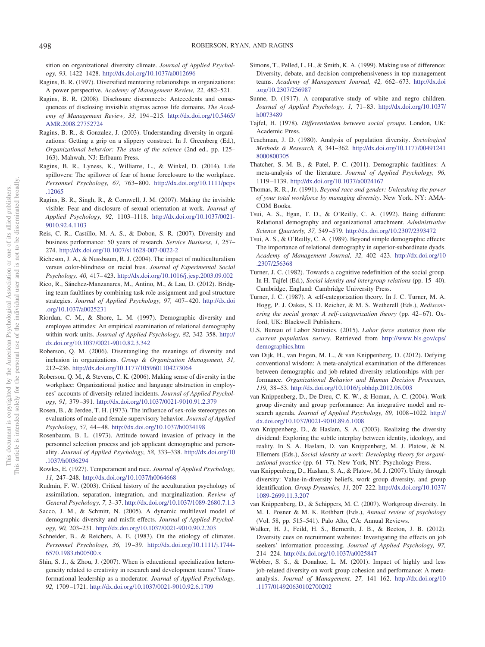sition on organizational diversity climate. *Journal of Applied Psychology, 93,* 1422–1428. <http://dx.doi.org/10.1037/a0012696>

- <span id="page-15-33"></span>Ragins, B. R. (1997). Diversified mentoring relationships in organizations: A power perspective. *Academy of Management Review, 22,* 482–521.
- <span id="page-15-30"></span>Ragins, B. R. (2008). Disclosure disconnects: Antecedents and consequences of disclosing invisible stigmas across life domains. *The Academy of Management Review, 33,* 194 –215. [http://dx.doi.org/10.5465/](http://dx.doi.org/10.5465/AMR.2008.27752724) [AMR.2008.27752724](http://dx.doi.org/10.5465/AMR.2008.27752724)
- <span id="page-15-4"></span>Ragins, B. R., & Gonzalez, J. (2003). Understanding diversity in organizations: Getting a grip on a slippery construct. In J. Greenberg (Ed.), *Organizational behavior: The state of the science* (2nd ed., pp. 125– 163). Mahwah, NJ: Erlbaum Press.
- <span id="page-15-35"></span>Ragins, B. R., Lyness, K., Williams, L., & Winkel, D. (2014). Life spillovers: The spillover of fear of home foreclosure to the workplace. *Personnel Psychology, 67,* 763– 800. [http://dx.doi.org/10.1111/peps](http://dx.doi.org/10.1111/peps.12065) [.12065](http://dx.doi.org/10.1111/peps.12065)
- <span id="page-15-31"></span>Ragins, B. R., Singh, R., & Cornwell, J. M. (2007). Making the invisible visible: Fear and disclosure of sexual orientation at work. *Journal of Applied Psychology, 92,* 1103–1118. [http://dx.doi.org/10.1037/0021-](http://dx.doi.org/10.1037/0021-9010.92.4.1103) [9010.92.4.1103](http://dx.doi.org/10.1037/0021-9010.92.4.1103)
- <span id="page-15-29"></span>Reis, C. R., Castillo, M. A. S., & Dobon, S. R. (2007). Diversity and business performance: 50 years of research. *Service Business, 1,* 257– 274. <http://dx.doi.org/10.1007/s11628-007-0022-2>
- <span id="page-15-22"></span>Richeson, J. A., & Nussbaum, R. J. (2004). The impact of multiculturalism versus color-blindness on racial bias. *Journal of Experimental Social Psychology, 40,* 417– 423. <http://dx.doi.org/10.1016/j.jesp.2003.09.002>
- <span id="page-15-13"></span>Rico, R., Sánchez-Manzanares, M., Antino, M., & Lau, D. (2012). Bridging team faultlines by combining task role assignment and goal structure strategies. *Journal of Applied Psychology, 97,* 407– 420. [http://dx.doi](http://dx.doi.org/10.1037/a0025231) [.org/10.1037/a0025231](http://dx.doi.org/10.1037/a0025231)
- <span id="page-15-10"></span>Riordan, C. M., & Shore, L. M. (1997). Demographic diversity and employee attitudes: An empirical examination of relational demography within work units. *Journal of Applied Psychology, 82,* 342–358. [http://](http://dx.doi.org/10.1037/0021-9010.82.3.342) [dx.doi.org/10.1037/0021-9010.82.3.342](http://dx.doi.org/10.1037/0021-9010.82.3.342)
- <span id="page-15-34"></span>Roberson, Q. M. (2006). Disentangling the meanings of diversity and inclusion in organizations. *Group & Organization Management, 31,* 212–236. <http://dx.doi.org/10.1177/1059601104273064>
- <span id="page-15-14"></span>Roberson, Q. M., & Stevens, C. K. (2006). Making sense of diversity in the workplace: Organizational justice and language abstraction in employees' accounts of diversity-related incidents. *Journal of Applied Psychology, 91,* 379 –391. <http://dx.doi.org/10.1037/0021-9010.91.2.379>
- <span id="page-15-8"></span>Rosen, B., & Jerdee, T. H. (1973). The influence of sex-role stereotypes on evaluations of male and female supervisory behavior. *Journal of Applied Psychology, 57,* 44 – 48. <http://dx.doi.org/10.1037/h0034198>
- <span id="page-15-9"></span>Rosenbaum, B. L. (1973). Attitude toward invasion of privacy in the personnel selection process and job applicant demographic and personality. *Journal of Applied Psychology, 58,* 333–338. [http://dx.doi.org/10](http://dx.doi.org/10.1037/h0036294) [.1037/h0036294](http://dx.doi.org/10.1037/h0036294)
- <span id="page-15-7"></span>Rowles, E. (1927). Temperament and race. *Journal of Applied Psychology, 11,* 247–248. <http://dx.doi.org/10.1037/h0064668>
- <span id="page-15-32"></span>Rudmin, F. W. (2003). Critical history of the acculturation psychology of assimilation, separation, integration, and marginalization. *Review of General Psychology, 7,* 3–37. <http://dx.doi.org/10.1037/1089-2680.7.1.3>
- <span id="page-15-15"></span>Sacco, J. M., & Schmitt, N. (2005). A dynamic multilevel model of demographic diversity and misfit effects. *Journal of Applied Psychology, 90,* 203–231. <http://dx.doi.org/10.1037/0021-9010.90.2.203>
- <span id="page-15-25"></span>Schneider, B., & Reichers, A. E. (1983). On the etiology of climates. *Personnel Psychology, 36,* 19 –39. [http://dx.doi.org/10.1111/j.1744-](http://dx.doi.org/10.1111/j.1744-6570.1983.tb00500.x) [6570.1983.tb00500.x](http://dx.doi.org/10.1111/j.1744-6570.1983.tb00500.x)
- <span id="page-15-16"></span>Shin, S. J., & Zhou, J. (2007). When is educational specialization heterogeneity related to creativity in research and development teams? Transformational leadership as a moderator. *Journal of Applied Psychology, 92,* 1709 –1721. <http://dx.doi.org/10.1037/0021-9010.92.6.1709>
- <span id="page-15-19"></span>Simons, T., Pelled, L. H., & Smith, K. A. (1999). Making use of difference: Diversity, debate, and decision comprehensiveness in top management teams. Academy of Management Journal, 42, 662-673. [http://dx.doi](http://dx.doi.org/10.2307/256987) [.org/10.2307/256987](http://dx.doi.org/10.2307/256987)
- <span id="page-15-6"></span>Sunne, D. (1917). A comparative study of white and negro children. *Journal of Applied Psychology, 1,* 71– 83. [http://dx.doi.org/10.1037/](http://dx.doi.org/10.1037/h0073489) [h0073489](http://dx.doi.org/10.1037/h0073489)
- <span id="page-15-0"></span>Tajfel, H. (1978). *Differentiation between social groups*. London, UK: Academic Press.
- <span id="page-15-27"></span>Teachman, J. D. (1980). Analysis of population diversity. *Sociological Methods & Research, 8,* 341–362. [http://dx.doi.org/10.1177/00491241](http://dx.doi.org/10.1177/004912418000800305) [8000800305](http://dx.doi.org/10.1177/004912418000800305)
- <span id="page-15-17"></span>Thatcher, S. M. B., & Patel, P. C. (2011). Demographic faultlines: A meta-analysis of the literature. *Journal of Applied Psychology, 96,* 1119 –1139. <http://dx.doi.org/10.1037/a0024167>
- <span id="page-15-5"></span>Thomas, R. R., Jr. (1991). *Beyond race and gender: Unleashing the power of your total workforce by managing diversity*. New York, NY: AMA-COM Books.
- <span id="page-15-23"></span>Tsui, A. S., Egan, T. D., & O'Reilly, C. A. (1992). Being different: Relational demography and organizational attachment. *Administrative Science Quarterly, 37,* 549 –579. <http://dx.doi.org/10.2307/2393472>
- <span id="page-15-24"></span>Tsui, A. S., & O'Reilly, C. A. (1989). Beyond simple demographic effects: The importance of relational demography in superior-subordinate dyads. *Academy of Management Journal, 32,* 402– 423. [http://dx.doi.org/10](http://dx.doi.org/10.2307/256368) [.2307/256368](http://dx.doi.org/10.2307/256368)
- <span id="page-15-1"></span>Turner, J. C. (1982). Towards a cognitive redefinition of the social group. In H. Tajfel (Ed.), *Social identity and intergroup relations* (pp. 15–40). Cambridge, England: Cambridge University Press.
- <span id="page-15-2"></span>Turner, J. C. (1987). A self-categorization theory. In J. C. Turner, M. A. Hogg, P. J. Oakes, S. D. Reicher, & M. S. Wetherell (Eds.), *Rediscovering the social group: A self-categorization theory* (pp. 42-67). Oxford, UK: Blackwell Publishers.
- <span id="page-15-3"></span>U.S. Bureau of Labor Statistics. (2015). *Labor force statistics from the current population survey*. Retrieved from [http://www.bls.gov/cps/](http://www.bls.gov/cps/demographics.htm) [demographics.htm](http://www.bls.gov/cps/demographics.htm)
- <span id="page-15-28"></span>van Dijk, H., van Engen, M. L., & van Knippenberg, D. (2012). Defying conventional wisdom: A meta-analytical examination of the differences between demographic and job-related diversity relationships with performance. *Organizational Behavior and Human Decision Processes, 119,* 38 –53. <http://dx.doi.org/10.1016/j.obhdp.2012.06.003>
- <span id="page-15-26"></span>van Knippenberg, D., De Dreu, C. K. W., & Homan, A. C. (2004). Work group diversity and group performance: An integrative model and research agenda. *Journal of Applied Psychology, 89,* 1008 –1022. [http://](http://dx.doi.org/10.1037/0021-9010.89.6.1008) [dx.doi.org/10.1037/0021-9010.89.6.1008](http://dx.doi.org/10.1037/0021-9010.89.6.1008)
- <span id="page-15-20"></span>van Knippenberg, D., & Haslam, S. A. (2003). Realizing the diversity dividend: Exploring the subtle interplay between identity, ideology, and reality. In S. A. Haslam, D. van Knippenberg, M. J. Platow, & N. Ellemers (Eds.), *Social identity at work: Developing theory for organizational practice* (pp. 61–77). New York, NY: Psychology Press.
- <span id="page-15-21"></span>van Knippenberg, D., Haslam, S. A., & Platow, M. J. (2007). Unity through diversity: Value-in-diversity beliefs, work group diversity, and group identification. *Group Dynamics, 11,* 207–222. [http://dx.doi.org/10.1037/](http://dx.doi.org/10.1037/1089-2699.11.3.207) [1089-2699.11.3.207](http://dx.doi.org/10.1037/1089-2699.11.3.207)
- <span id="page-15-11"></span>van Knippenberg, D., & Schippers, M. C. (2007). Workgroup diversity. In M. I. Posner & M. K. Rothbart (Eds.), *Annual review of psychology* (Vol. 58, pp. 515–541). Palo Alto, CA: Annual Reviews.
- <span id="page-15-18"></span>Walker, H. J., Feild, H. S., Bernerth, J. B., & Becton, J. B. (2012). Diversity cues on recruitment websites: Investigating the effects on job seekers' information processing. *Journal of Applied Psychology, 97,* 214 –224. <http://dx.doi.org/10.1037/a0025847>
- <span id="page-15-12"></span>Webber, S. S., & Donahue, L. M. (2001). Impact of highly and less job-related diversity on work group cohesion and performance: A metaanalysis. *Journal of Management, 27,* 141–162. [http://dx.doi.org/10](http://dx.doi.org/10.1177/014920630102700202) [.1177/014920630102700202](http://dx.doi.org/10.1177/014920630102700202)